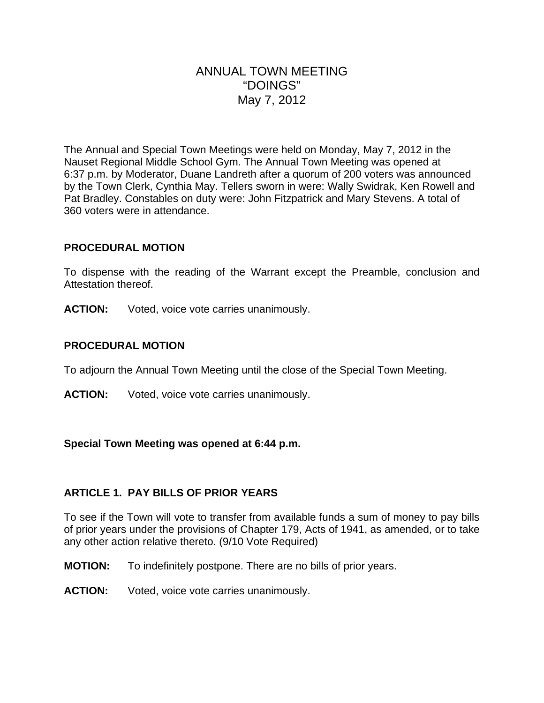# ANNUAL TOWN MEETING "DOINGS" May 7, 2012

The Annual and Special Town Meetings were held on Monday, May 7, 2012 in the Nauset Regional Middle School Gym. The Annual Town Meeting was opened at 6:37 p.m. by Moderator, Duane Landreth after a quorum of 200 voters was announced by the Town Clerk, Cynthia May. Tellers sworn in were: Wally Swidrak, Ken Rowell and Pat Bradley. Constables on duty were: John Fitzpatrick and Mary Stevens. A total of 360 voters were in attendance.

### **PROCEDURAL MOTION**

To dispense with the reading of the Warrant except the Preamble, conclusion and Attestation thereof.

**ACTION:** Voted, voice vote carries unanimously.

### **PROCEDURAL MOTION**

To adjourn the Annual Town Meeting until the close of the Special Town Meeting.

**ACTION:** Voted, voice vote carries unanimously.

### **Special Town Meeting was opened at 6:44 p.m.**

## **ARTICLE 1. PAY BILLS OF PRIOR YEARS**

To see if the Town will vote to transfer from available funds a sum of money to pay bills of prior years under the provisions of Chapter 179, Acts of 1941, as amended, or to take any other action relative thereto. (9/10 Vote Required)

- **MOTION:** To indefinitely postpone. There are no bills of prior years.
- **ACTION:** Voted, voice vote carries unanimously.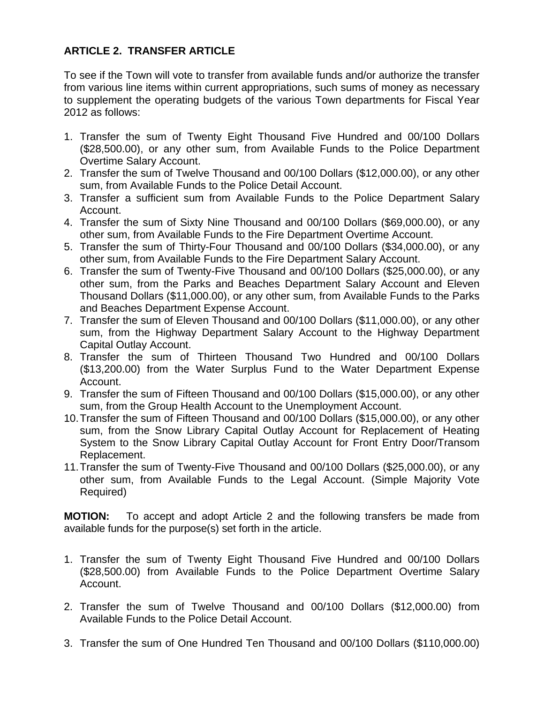# **ARTICLE 2. TRANSFER ARTICLE**

To see if the Town will vote to transfer from available funds and/or authorize the transfer from various line items within current appropriations, such sums of money as necessary to supplement the operating budgets of the various Town departments for Fiscal Year 2012 as follows:

- 1. Transfer the sum of Twenty Eight Thousand Five Hundred and 00/100 Dollars (\$28,500.00), or any other sum, from Available Funds to the Police Department Overtime Salary Account.
- 2. Transfer the sum of Twelve Thousand and 00/100 Dollars (\$12,000.00), or any other sum, from Available Funds to the Police Detail Account.
- 3. Transfer a sufficient sum from Available Funds to the Police Department Salary Account.
- 4. Transfer the sum of Sixty Nine Thousand and 00/100 Dollars (\$69,000.00), or any other sum, from Available Funds to the Fire Department Overtime Account.
- 5. Transfer the sum of Thirty-Four Thousand and 00/100 Dollars (\$34,000.00), or any other sum, from Available Funds to the Fire Department Salary Account.
- 6. Transfer the sum of Twenty-Five Thousand and 00/100 Dollars (\$25,000.00), or any other sum, from the Parks and Beaches Department Salary Account and Eleven Thousand Dollars (\$11,000.00), or any other sum, from Available Funds to the Parks and Beaches Department Expense Account.
- 7. Transfer the sum of Eleven Thousand and 00/100 Dollars (\$11,000.00), or any other sum, from the Highway Department Salary Account to the Highway Department Capital Outlay Account.
- 8. Transfer the sum of Thirteen Thousand Two Hundred and 00/100 Dollars (\$13,200.00) from the Water Surplus Fund to the Water Department Expense Account.
- 9. Transfer the sum of Fifteen Thousand and 00/100 Dollars (\$15,000.00), or any other sum, from the Group Health Account to the Unemployment Account.
- 10. Transfer the sum of Fifteen Thousand and 00/100 Dollars (\$15,000.00), or any other sum, from the Snow Library Capital Outlay Account for Replacement of Heating System to the Snow Library Capital Outlay Account for Front Entry Door/Transom Replacement.
- 11. Transfer the sum of Twenty-Five Thousand and 00/100 Dollars (\$25,000.00), or any other sum, from Available Funds to the Legal Account. (Simple Majority Vote Required)

**MOTION:** To accept and adopt Article 2 and the following transfers be made from available funds for the purpose(s) set forth in the article.

- 1. Transfer the sum of Twenty Eight Thousand Five Hundred and 00/100 Dollars (\$28,500.00) from Available Funds to the Police Department Overtime Salary Account.
- 2. Transfer the sum of Twelve Thousand and 00/100 Dollars (\$12,000.00) from Available Funds to the Police Detail Account.
- 3. Transfer the sum of One Hundred Ten Thousand and 00/100 Dollars (\$110,000.00)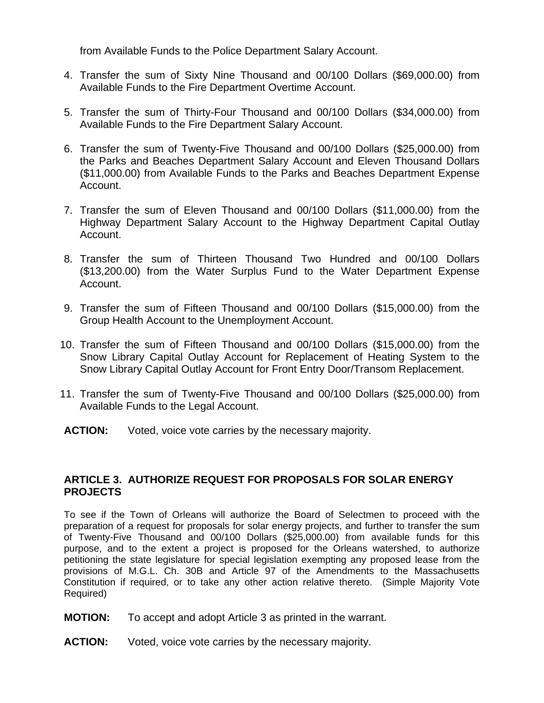from Available Funds to the Police Department Salary Account.

- 4. Transfer the sum of Sixty Nine Thousand and 00/100 Dollars (\$69,000.00) from Available Funds to the Fire Department Overtime Account.
- 5. Transfer the sum of Thirty-Four Thousand and 00/100 Dollars (\$34,000.00) from Available Funds to the Fire Department Salary Account.
- 6. Transfer the sum of Twenty-Five Thousand and 00/100 Dollars (\$25,000.00) from the Parks and Beaches Department Salary Account and Eleven Thousand Dollars (\$11,000.00) from Available Funds to the Parks and Beaches Department Expense Account.
- 7. Transfer the sum of Eleven Thousand and 00/100 Dollars (\$11,000.00) from the Highway Department Salary Account to the Highway Department Capital Outlay Account.
- 8. Transfer the sum of Thirteen Thousand Two Hundred and 00/100 Dollars (\$13,200.00) from the Water Surplus Fund to the Water Department Expense Account.
- 9. Transfer the sum of Fifteen Thousand and 00/100 Dollars (\$15,000.00) from the Group Health Account to the Unemployment Account.
- 10. Transfer the sum of Fifteen Thousand and 00/100 Dollars (\$15,000.00) from the Snow Library Capital Outlay Account for Replacement of Heating System to the Snow Library Capital Outlay Account for Front Entry Door/Transom Replacement.
- 11. Transfer the sum of Twenty-Five Thousand and 00/100 Dollars (\$25,000.00) from Available Funds to the Legal Account.
- **ACTION:** Voted, voice vote carries by the necessary majority.

### **ARTICLE 3. AUTHORIZE REQUEST FOR PROPOSALS FOR SOLAR ENERGY PROJECTS**

To see if the Town of Orleans will authorize the Board of Selectmen to proceed with the preparation of a request for proposals for solar energy projects, and further to transfer the sum of Twenty-Five Thousand and 00/100 Dollars (\$25,000.00) from available funds for this purpose, and to the extent a project is proposed for the Orleans watershed, to authorize petitioning the state legislature for special legislation exempting any proposed lease from the provisions of M.G.L. Ch. 30B and Article 97 of the Amendments to the Massachusetts Constitution if required, or to take any other action relative thereto. (Simple Majority Vote Required)

- **MOTION:** To accept and adopt Article 3 as printed in the warrant.
- **ACTION:** Voted, voice vote carries by the necessary majority.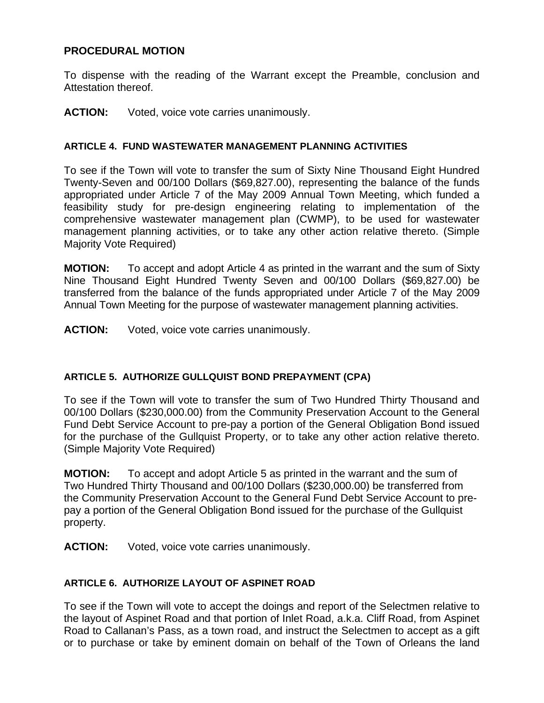### **PROCEDURAL MOTION**

To dispense with the reading of the Warrant except the Preamble, conclusion and Attestation thereof.

#### **ACTION:** Voted, voice vote carries unanimously.

#### **ARTICLE 4. FUND WASTEWATER MANAGEMENT PLANNING ACTIVITIES**

To see if the Town will vote to transfer the sum of Sixty Nine Thousand Eight Hundred Twenty-Seven and 00/100 Dollars (\$69,827.00), representing the balance of the funds appropriated under Article 7 of the May 2009 Annual Town Meeting, which funded a feasibility study for pre-design engineering relating to implementation of the comprehensive wastewater management plan (CWMP), to be used for wastewater management planning activities, or to take any other action relative thereto. (Simple Majority Vote Required)

**MOTION:** To accept and adopt Article 4 as printed in the warrant and the sum of Sixty Nine Thousand Eight Hundred Twenty Seven and 00/100 Dollars (\$69,827.00) be transferred from the balance of the funds appropriated under Article 7 of the May 2009 Annual Town Meeting for the purpose of wastewater management planning activities.

**ACTION:** Voted, voice vote carries unanimously.

### **ARTICLE 5. AUTHORIZE GULLQUIST BOND PREPAYMENT (CPA)**

To see if the Town will vote to transfer the sum of Two Hundred Thirty Thousand and 00/100 Dollars (\$230,000.00) from the Community Preservation Account to the General Fund Debt Service Account to pre-pay a portion of the General Obligation Bond issued for the purchase of the Gullquist Property, or to take any other action relative thereto. (Simple Majority Vote Required)

**MOTION:** To accept and adopt Article 5 as printed in the warrant and the sum of Two Hundred Thirty Thousand and 00/100 Dollars (\$230,000.00) be transferred from the Community Preservation Account to the General Fund Debt Service Account to prepay a portion of the General Obligation Bond issued for the purchase of the Gullquist property.

**ACTION:** Voted, voice vote carries unanimously.

### **ARTICLE 6. AUTHORIZE LAYOUT OF ASPINET ROAD**

To see if the Town will vote to accept the doings and report of the Selectmen relative to the layout of Aspinet Road and that portion of Inlet Road, a.k.a. Cliff Road, from Aspinet Road to Callanan's Pass, as a town road, and instruct the Selectmen to accept as a gift or to purchase or take by eminent domain on behalf of the Town of Orleans the land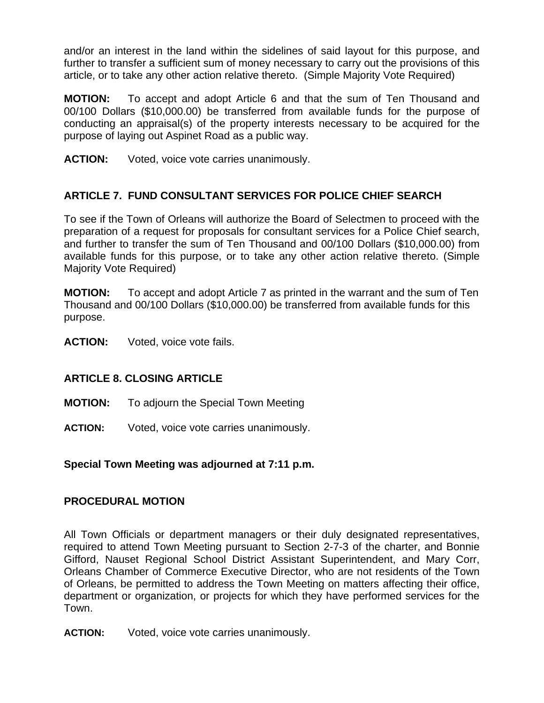and/or an interest in the land within the sidelines of said layout for this purpose, and further to transfer a sufficient sum of money necessary to carry out the provisions of this article, or to take any other action relative thereto. (Simple Majority Vote Required)

**MOTION:** To accept and adopt Article 6 and that the sum of Ten Thousand and 00/100 Dollars (\$10,000.00) be transferred from available funds for the purpose of conducting an appraisal(s) of the property interests necessary to be acquired for the purpose of laying out Aspinet Road as a public way.

**ACTION:** Voted, voice vote carries unanimously.

# **ARTICLE 7. FUND CONSULTANT SERVICES FOR POLICE CHIEF SEARCH**

To see if the Town of Orleans will authorize the Board of Selectmen to proceed with the preparation of a request for proposals for consultant services for a Police Chief search, and further to transfer the sum of Ten Thousand and 00/100 Dollars (\$10,000.00) from available funds for this purpose, or to take any other action relative thereto. (Simple Majority Vote Required)

**MOTION:** To accept and adopt Article 7 as printed in the warrant and the sum of Ten Thousand and 00/100 Dollars (\$10,000.00) be transferred from available funds for this purpose.

**ACTION:** Voted, voice vote fails.

## **ARTICLE 8. CLOSING ARTICLE**

- **MOTION:** To adjourn the Special Town Meeting
- **ACTION:** Voted, voice vote carries unanimously.

## **Special Town Meeting was adjourned at 7:11 p.m.**

### **PROCEDURAL MOTION**

All Town Officials or department managers or their duly designated representatives, required to attend Town Meeting pursuant to Section 2-7-3 of the charter, and Bonnie Gifford, Nauset Regional School District Assistant Superintendent, and Mary Corr, Orleans Chamber of Commerce Executive Director, who are not residents of the Town of Orleans, be permitted to address the Town Meeting on matters affecting their office, department or organization, or projects for which they have performed services for the Town.

**ACTION:** Voted, voice vote carries unanimously.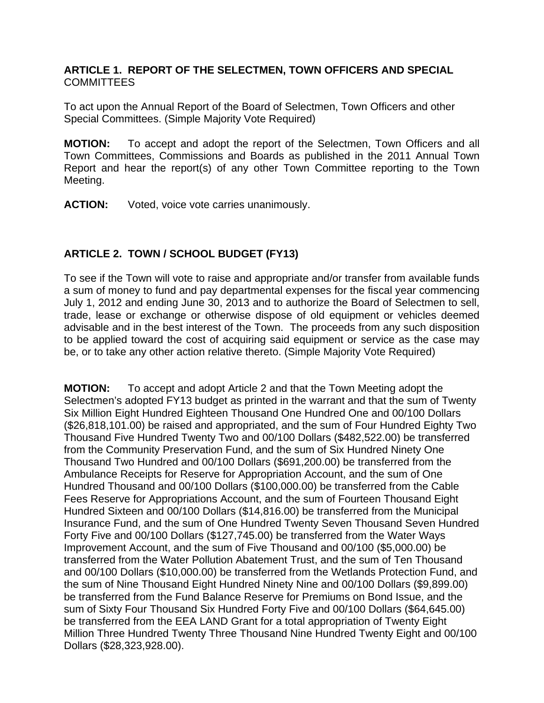### **ARTICLE 1. REPORT OF THE SELECTMEN, TOWN OFFICERS AND SPECIAL**  COMMITTEES

To act upon the Annual Report of the Board of Selectmen, Town Officers and other Special Committees. (Simple Majority Vote Required)

**MOTION:** To accept and adopt the report of the Selectmen, Town Officers and all Town Committees, Commissions and Boards as published in the 2011 Annual Town Report and hear the report(s) of any other Town Committee reporting to the Town Meeting.

**ACTION:** Voted, voice vote carries unanimously.

# **ARTICLE 2. TOWN / SCHOOL BUDGET (FY13)**

To see if the Town will vote to raise and appropriate and/or transfer from available funds a sum of money to fund and pay departmental expenses for the fiscal year commencing July 1, 2012 and ending June 30, 2013 and to authorize the Board of Selectmen to sell, trade, lease or exchange or otherwise dispose of old equipment or vehicles deemed advisable and in the best interest of the Town. The proceeds from any such disposition to be applied toward the cost of acquiring said equipment or service as the case may be, or to take any other action relative thereto. (Simple Majority Vote Required)

**MOTION:** To accept and adopt Article 2 and that the Town Meeting adopt the Selectmen's adopted FY13 budget as printed in the warrant and that the sum of Twenty Six Million Eight Hundred Eighteen Thousand One Hundred One and 00/100 Dollars (\$26,818,101.00) be raised and appropriated, and the sum of Four Hundred Eighty Two Thousand Five Hundred Twenty Two and 00/100 Dollars (\$482,522.00) be transferred from the Community Preservation Fund, and the sum of Six Hundred Ninety One Thousand Two Hundred and 00/100 Dollars (\$691,200.00) be transferred from the Ambulance Receipts for Reserve for Appropriation Account, and the sum of One Hundred Thousand and 00/100 Dollars (\$100,000.00) be transferred from the Cable Fees Reserve for Appropriations Account, and the sum of Fourteen Thousand Eight Hundred Sixteen and 00/100 Dollars (\$14,816.00) be transferred from the Municipal Insurance Fund, and the sum of One Hundred Twenty Seven Thousand Seven Hundred Forty Five and 00/100 Dollars (\$127,745.00) be transferred from the Water Ways Improvement Account, and the sum of Five Thousand and 00/100 (\$5,000.00) be transferred from the Water Pollution Abatement Trust, and the sum of Ten Thousand and 00/100 Dollars (\$10,000.00) be transferred from the Wetlands Protection Fund, and the sum of Nine Thousand Eight Hundred Ninety Nine and 00/100 Dollars (\$9,899.00) be transferred from the Fund Balance Reserve for Premiums on Bond Issue, and the sum of Sixty Four Thousand Six Hundred Forty Five and 00/100 Dollars (\$64,645.00) be transferred from the EEA LAND Grant for a total appropriation of Twenty Eight Million Three Hundred Twenty Three Thousand Nine Hundred Twenty Eight and 00/100 Dollars (\$28,323,928.00).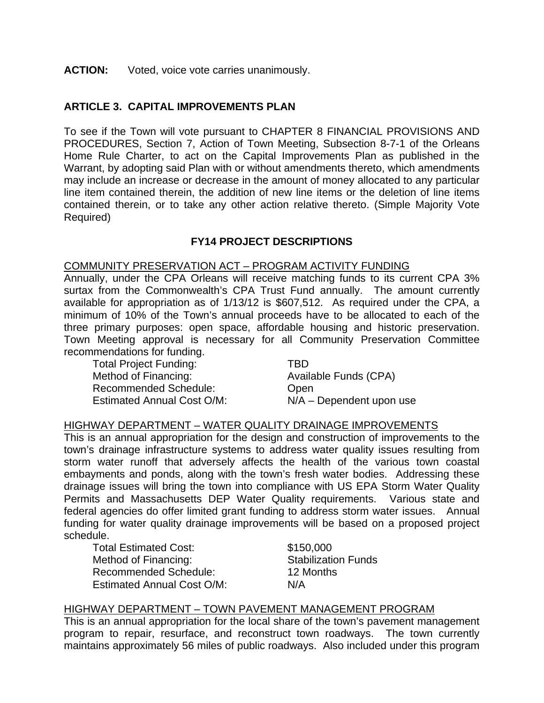#### **ACTION:** Voted, voice vote carries unanimously.

### **ARTICLE 3. CAPITAL IMPROVEMENTS PLAN**

To see if the Town will vote pursuant to CHAPTER 8 FINANCIAL PROVISIONS AND PROCEDURES, Section 7, Action of Town Meeting, Subsection 8-7-1 of the Orleans Home Rule Charter, to act on the Capital Improvements Plan as published in the Warrant, by adopting said Plan with or without amendments thereto, which amendments may include an increase or decrease in the amount of money allocated to any particular line item contained therein, the addition of new line items or the deletion of line items contained therein, or to take any other action relative thereto. (Simple Majority Vote Required)

#### **FY14 PROJECT DESCRIPTIONS**

#### COMMUNITY PRESERVATION ACT – PROGRAM ACTIVITY FUNDING

Annually, under the CPA Orleans will receive matching funds to its current CPA 3% surtax from the Commonwealth's CPA Trust Fund annually. The amount currently available for appropriation as of 1/13/12 is \$607,512. As required under the CPA, a minimum of 10% of the Town's annual proceeds have to be allocated to each of the three primary purposes: open space, affordable housing and historic preservation. Town Meeting approval is necessary for all Community Preservation Committee recommendations for funding.

Total Project Funding: TBD Method of Financing: Available Funds (CPA) Recommended Schedule: Chem

Estimated Annual Cost O/M: N/A – Dependent upon use

#### HIGHWAY DEPARTMENT – WATER QUALITY DRAINAGE IMPROVEMENTS

This is an annual appropriation for the design and construction of improvements to the town's drainage infrastructure systems to address water quality issues resulting from storm water runoff that adversely affects the health of the various town coastal embayments and ponds, along with the town's fresh water bodies. Addressing these drainage issues will bring the town into compliance with US EPA Storm Water Quality Permits and Massachusetts DEP Water Quality requirements. Various state and federal agencies do offer limited grant funding to address storm water issues. Annual funding for water quality drainage improvements will be based on a proposed project schedule.

Total Estimated Cost: \$150,000 Method of Financing: Stabilization Funds Recommended Schedule: 12 Months Estimated Annual Cost O/M: N/A

#### HIGHWAY DEPARTMENT – TOWN PAVEMENT MANAGEMENT PROGRAM

This is an annual appropriation for the local share of the town's pavement management program to repair, resurface, and reconstruct town roadways. The town currently maintains approximately 56 miles of public roadways. Also included under this program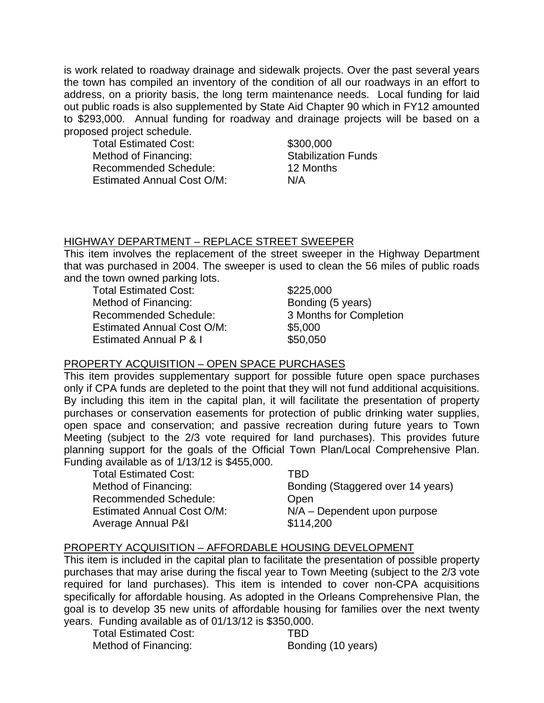is work related to roadway drainage and sidewalk projects. Over the past several years the town has compiled an inventory of the condition of all our roadways in an effort to address, on a priority basis, the long term maintenance needs. Local funding for laid out public roads is also supplemented by State Aid Chapter 90 which in FY12 amounted to \$293,000. Annual funding for roadway and drainage projects will be based on a proposed project schedule.

Total Estimated Cost: \$300,000 Method of Financing: Stabilization Funds Recommended Schedule: 12 Months Estimated Annual Cost O/M: N/A

### HIGHWAY DEPARTMENT – REPLACE STREET SWEEPER

This item involves the replacement of the street sweeper in the Highway Department that was purchased in 2004. The sweeper is used to clean the 56 miles of public roads and the town owned parking lots.

Total Estimated Cost: \$225,000 Method of Financing: Bonding (5 years) Recommended Schedule: 3 Months for Completion Estimated Annual Cost O/M: \$5,000 Estimated Annual P & I \$50,050

## PROPERTY ACQUISITION – OPEN SPACE PURCHASES

This item provides supplementary support for possible future open space purchases only if CPA funds are depleted to the point that they will not fund additional acquisitions. By including this item in the capital plan, it will facilitate the presentation of property purchases or conservation easements for protection of public drinking water supplies, open space and conservation; and passive recreation during future years to Town Meeting (subject to the 2/3 vote required for land purchases). This provides future planning support for the goals of the Official Town Plan/Local Comprehensive Plan. Funding available as of 1/13/12 is \$455,000.

Total Estimated Cost: TBD Recommended Schedule: Chem Estimated Annual Cost O/M: N/A – Dependent upon purpose Average Annual P&I **\$114,200** 

Method of Financing: Bonding (Staggered over 14 years)

## PROPERTY ACQUISITION – AFFORDABLE HOUSING DEVELOPMENT

This item is included in the capital plan to facilitate the presentation of possible property purchases that may arise during the fiscal year to Town Meeting (subject to the 2/3 vote required for land purchases). This item is intended to cover non-CPA acquisitions specifically for affordable housing. As adopted in the Orleans Comprehensive Plan, the goal is to develop 35 new units of affordable housing for families over the next twenty years. Funding available as of 01/13/12 is \$350,000.

Total Estimated Cost: TBD Method of Financing: Bonding (10 years)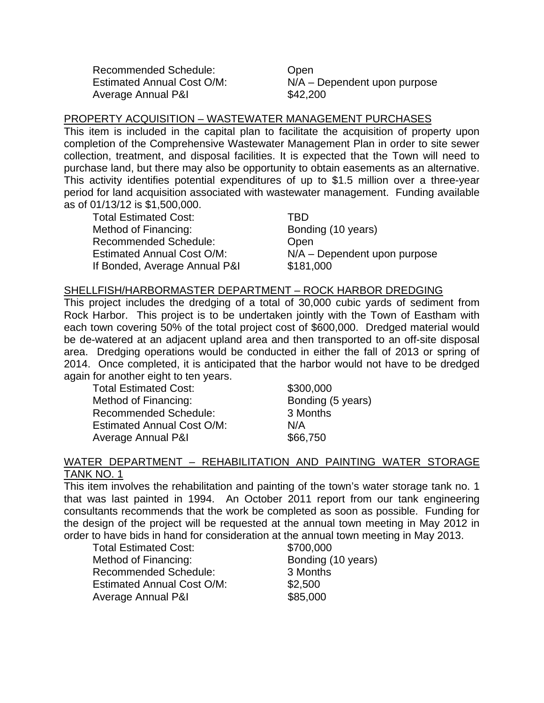Recommended Schedule: Open Average Annual P&I  $$42,200$ 

Estimated Annual Cost O/M: N/A – Dependent upon purpose

### PROPERTY ACQUISITION – WASTEWATER MANAGEMENT PURCHASES

This item is included in the capital plan to facilitate the acquisition of property upon completion of the Comprehensive Wastewater Management Plan in order to site sewer collection, treatment, and disposal facilities. It is expected that the Town will need to purchase land, but there may also be opportunity to obtain easements as an alternative. This activity identifies potential expenditures of up to \$1.5 million over a three-year period for land acquisition associated with wastewater management. Funding available as of 01/13/12 is \$1,500,000.

Total Estimated Cost: TBD Method of Financing: Bonding (10 years) Recommended Schedule: Chem If Bonded, Average Annual P&I \$181,000

Estimated Annual Cost O/M: N/A – Dependent upon purpose

#### SHELLFISH/HARBORMASTER DEPARTMENT – ROCK HARBOR DREDGING

This project includes the dredging of a total of 30,000 cubic yards of sediment from Rock Harbor. This project is to be undertaken jointly with the Town of Eastham with each town covering 50% of the total project cost of \$600,000. Dredged material would be de-watered at an adjacent upland area and then transported to an off-site disposal area. Dredging operations would be conducted in either the fall of 2013 or spring of 2014. Once completed, it is anticipated that the harbor would not have to be dredged again for another eight to ten years.

Total Estimated Cost: \$300,000 Method of Financing: Bonding (5 years) Recommended Schedule: 3 Months Estimated Annual Cost O/M: N/A Average Annual P&I  $$66,750$ 

#### WATER DEPARTMENT – REHABILITATION AND PAINTING WATER STORAGE TANK NO. 1

This item involves the rehabilitation and painting of the town's water storage tank no. 1 that was last painted in 1994. An October 2011 report from our tank engineering consultants recommends that the work be completed as soon as possible. Funding for the design of the project will be requested at the annual town meeting in May 2012 in order to have bids in hand for consideration at the annual town meeting in May 2013.

Total Estimated Cost: \$700,000 Method of Financing: Bonding (10 years) Recommended Schedule: 3 Months Estimated Annual Cost O/M: \$2,500 Average Annual P&I  $$85,000$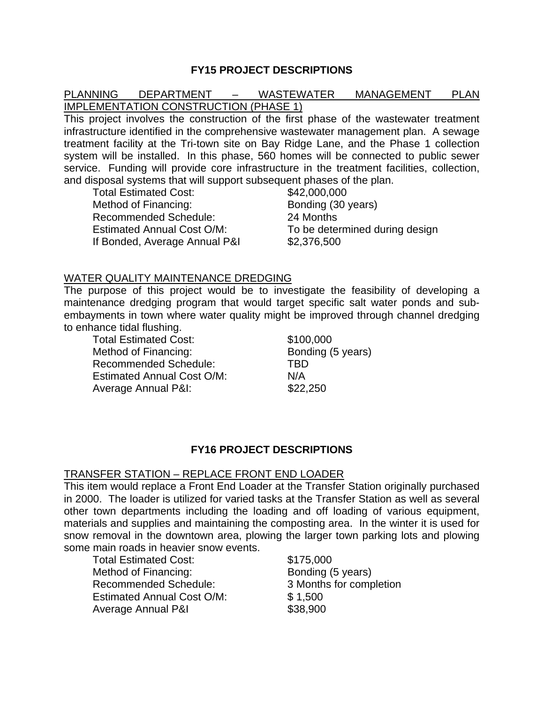### **FY15 PROJECT DESCRIPTIONS**

### PLANNING DEPARTMENT – WASTEWATER MANAGEMENT PLAN IMPLEMENTATION CONSTRUCTION (PHASE 1)

This project involves the construction of the first phase of the wastewater treatment infrastructure identified in the comprehensive wastewater management plan. A sewage treatment facility at the Tri-town site on Bay Ridge Lane, and the Phase 1 collection system will be installed. In this phase, 560 homes will be connected to public sewer service. Funding will provide core infrastructure in the treatment facilities, collection, and disposal systems that will support subsequent phases of the plan.

Total Estimated Cost: \$42,000,000 Method of Financing: Bonding (30 years) Recommended Schedule: 24 Months If Bonded, Average Annual P&I \$2,376,500

Estimated Annual Cost O/M: To be determined during design

#### WATER QUALITY MAINTENANCE DREDGING

The purpose of this project would be to investigate the feasibility of developing a maintenance dredging program that would target specific salt water ponds and subembayments in town where water quality might be improved through channel dredging to enhance tidal flushing.

Total Estimated Cost: \$100,000 Method of Financing: Bonding (5 years) Recommended Schedule: TBD Estimated Annual Cost O/M: N/A Average Annual P&I: \$22,250

### **FY16 PROJECT DESCRIPTIONS**

#### TRANSFER STATION – REPLACE FRONT END LOADER

This item would replace a Front End Loader at the Transfer Station originally purchased in 2000. The loader is utilized for varied tasks at the Transfer Station as well as several other town departments including the loading and off loading of various equipment, materials and supplies and maintaining the composting area. In the winter it is used for snow removal in the downtown area, plowing the larger town parking lots and plowing some main roads in heavier snow events.

Total Estimated Cost: \$175,000 Method of Financing: Bonding (5 years) Recommended Schedule: 3 Months for completion Estimated Annual Cost O/M: \$ 1,500 Average Annual P&I **\$38,900**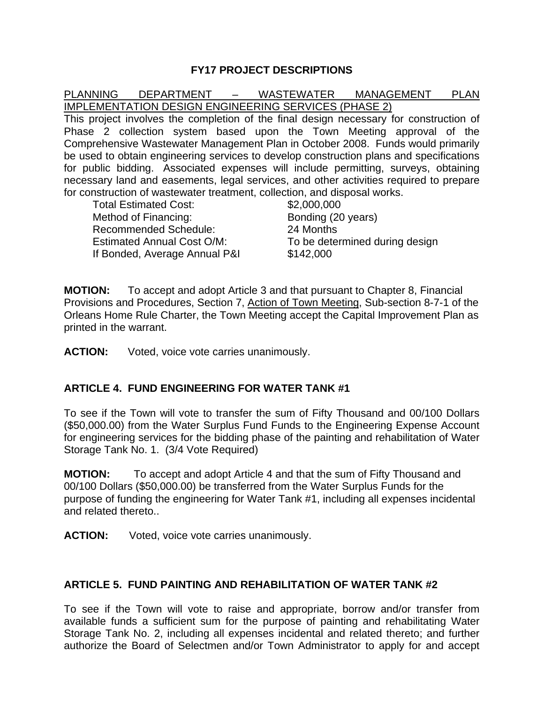### **FY17 PROJECT DESCRIPTIONS**

#### PLANNING DEPARTMENT – WASTEWATER MANAGEMENT PLAN IMPLEMENTATION DESIGN ENGINEERING SERVICES (PHASE 2)

This project involves the completion of the final design necessary for construction of Phase 2 collection system based upon the Town Meeting approval of the Comprehensive Wastewater Management Plan in October 2008. Funds would primarily be used to obtain engineering services to develop construction plans and specifications for public bidding. Associated expenses will include permitting, surveys, obtaining necessary land and easements, legal services, and other activities required to prepare for construction of wastewater treatment, collection, and disposal works.

| <b>Total Estimated Cost:</b>      | \$2,000,000                    |
|-----------------------------------|--------------------------------|
| Method of Financing:              | Bonding (20 years)             |
| <b>Recommended Schedule:</b>      | 24 Months                      |
| <b>Estimated Annual Cost O/M:</b> | To be determined during design |
| If Bonded, Average Annual P&I     | \$142,000                      |

**MOTION:** To accept and adopt Article 3 and that pursuant to Chapter 8, Financial Provisions and Procedures, Section 7, Action of Town Meeting, Sub-section 8-7-1 of the Orleans Home Rule Charter, the Town Meeting accept the Capital Improvement Plan as printed in the warrant.

**ACTION:** Voted, voice vote carries unanimously.

### **ARTICLE 4. FUND ENGINEERING FOR WATER TANK #1**

To see if the Town will vote to transfer the sum of Fifty Thousand and 00/100 Dollars (\$50,000.00) from the Water Surplus Fund Funds to the Engineering Expense Account for engineering services for the bidding phase of the painting and rehabilitation of Water Storage Tank No. 1. (3/4 Vote Required)

**MOTION:** To accept and adopt Article 4 and that the sum of Fifty Thousand and 00/100 Dollars (\$50,000.00) be transferred from the Water Surplus Funds for the purpose of funding the engineering for Water Tank #1, including all expenses incidental and related thereto..

**ACTION:** Voted, voice vote carries unanimously.

### **ARTICLE 5. FUND PAINTING AND REHABILITATION OF WATER TANK #2**

To see if the Town will vote to raise and appropriate, borrow and/or transfer from available funds a sufficient sum for the purpose of painting and rehabilitating Water Storage Tank No. 2, including all expenses incidental and related thereto; and further authorize the Board of Selectmen and/or Town Administrator to apply for and accept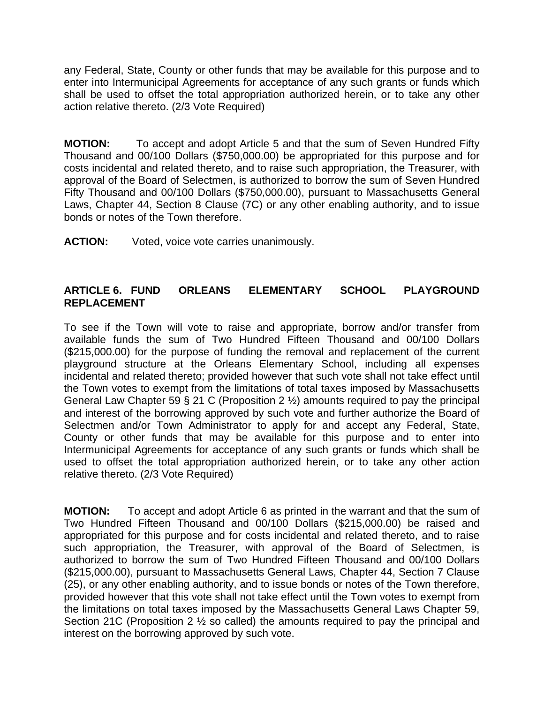any Federal, State, County or other funds that may be available for this purpose and to enter into Intermunicipal Agreements for acceptance of any such grants or funds which shall be used to offset the total appropriation authorized herein, or to take any other action relative thereto. (2/3 Vote Required)

**MOTION:** To accept and adopt Article 5 and that the sum of Seven Hundred Fifty Thousand and 00/100 Dollars (\$750,000.00) be appropriated for this purpose and for costs incidental and related thereto, and to raise such appropriation, the Treasurer, with approval of the Board of Selectmen, is authorized to borrow the sum of Seven Hundred Fifty Thousand and 00/100 Dollars (\$750,000.00), pursuant to Massachusetts General Laws, Chapter 44, Section 8 Clause (7C) or any other enabling authority, and to issue bonds or notes of the Town therefore.

**ACTION:** Voted, voice vote carries unanimously.

### **ARTICLE 6. FUND ORLEANS ELEMENTARY SCHOOL PLAYGROUND REPLACEMENT**

To see if the Town will vote to raise and appropriate, borrow and/or transfer from available funds the sum of Two Hundred Fifteen Thousand and 00/100 Dollars (\$215,000.00) for the purpose of funding the removal and replacement of the current playground structure at the Orleans Elementary School, including all expenses incidental and related thereto; provided however that such vote shall not take effect until the Town votes to exempt from the limitations of total taxes imposed by Massachusetts General Law Chapter 59 § 21 C (Proposition 2 ½) amounts required to pay the principal and interest of the borrowing approved by such vote and further authorize the Board of Selectmen and/or Town Administrator to apply for and accept any Federal, State, County or other funds that may be available for this purpose and to enter into Intermunicipal Agreements for acceptance of any such grants or funds which shall be used to offset the total appropriation authorized herein, or to take any other action relative thereto. (2/3 Vote Required)

**MOTION:** To accept and adopt Article 6 as printed in the warrant and that the sum of Two Hundred Fifteen Thousand and 00/100 Dollars (\$215,000.00) be raised and appropriated for this purpose and for costs incidental and related thereto, and to raise such appropriation, the Treasurer, with approval of the Board of Selectmen, is authorized to borrow the sum of Two Hundred Fifteen Thousand and 00/100 Dollars (\$215,000.00), pursuant to Massachusetts General Laws, Chapter 44, Section 7 Clause (25), or any other enabling authority, and to issue bonds or notes of the Town therefore, provided however that this vote shall not take effect until the Town votes to exempt from the limitations on total taxes imposed by the Massachusetts General Laws Chapter 59, Section 21C (Proposition 2 ½ so called) the amounts required to pay the principal and interest on the borrowing approved by such vote.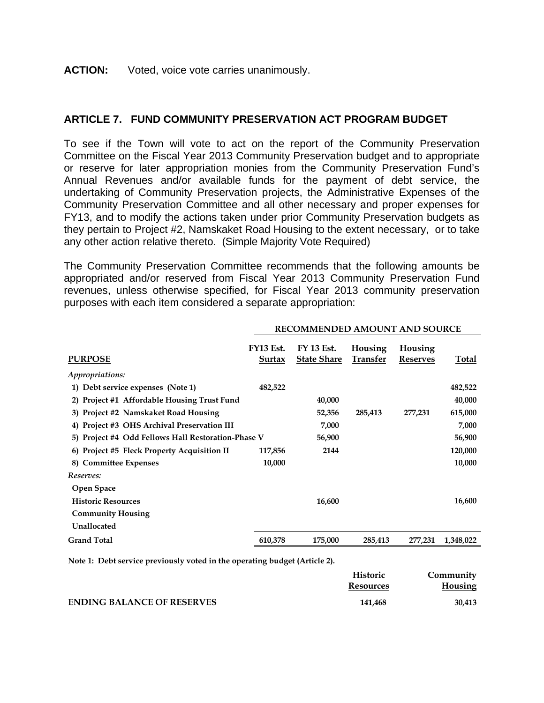#### **ACTION:** Voted, voice vote carries unanimously.

### **ARTICLE 7. FUND COMMUNITY PRESERVATION ACT PROGRAM BUDGET**

To see if the Town will vote to act on the report of the Community Preservation Committee on the Fiscal Year 2013 Community Preservation budget and to appropriate or reserve for later appropriation monies from the Community Preservation Fund's Annual Revenues and/or available funds for the payment of debt service, the undertaking of Community Preservation projects, the Administrative Expenses of the Community Preservation Committee and all other necessary and proper expenses for FY13, and to modify the actions taken under prior Community Preservation budgets as they pertain to Project #2, Namskaket Road Housing to the extent necessary, or to take any other action relative thereto. (Simple Majority Vote Required)

The Community Preservation Committee recommends that the following amounts be appropriated and/or reserved from Fiscal Year 2013 Community Preservation Fund revenues, unless otherwise specified, for Fiscal Year 2013 community preservation purposes with each item considered a separate appropriation:

| <b>PURPOSE</b>                                        | <b>FY13 Est.</b><br>Surtax | <b>FY 13 Est.</b><br><b>State Share</b> | Housing<br>Transfer | Housing<br><b>Reserves</b> | Total     |
|-------------------------------------------------------|----------------------------|-----------------------------------------|---------------------|----------------------------|-----------|
| Appropriations:                                       |                            |                                         |                     |                            |           |
| 1) Debt service expenses (Note 1)                     | 482,522                    |                                         |                     |                            | 482,522   |
| <b>Project #1 Affordable Housing Trust Fund</b><br>2) |                            | 40,000                                  |                     |                            | 40,000    |
| 3) Project #2 Namskaket Road Housing                  |                            | 52,356                                  | 285,413             | 277,231                    | 615,000   |
| <b>Project #3 OHS Archival Preservation III</b><br>4) |                            | 7,000                                   |                     |                            | 7,000     |
| 5) Project #4 Odd Fellows Hall Restoration-Phase V    |                            | 56,900                                  |                     |                            | 56,900    |
| <b>Project #5 Fleck Property Acquisition II</b><br>6) | 117,856                    | 2144                                    |                     |                            | 120,000   |
| <b>Committee Expenses</b><br>8)                       | 10,000                     |                                         |                     |                            | 10,000    |
| Reserves:                                             |                            |                                         |                     |                            |           |
| Open Space                                            |                            |                                         |                     |                            |           |
| <b>Historic Resources</b>                             |                            | 16,600                                  |                     |                            | 16,600    |
| <b>Community Housing</b>                              |                            |                                         |                     |                            |           |
| Unallocated                                           |                            |                                         |                     |                            |           |
| <b>Grand Total</b>                                    | 610,378                    | 175,000                                 | 285,413             | 277,231                    | 1,348,022 |
|                                                       |                            |                                         |                     |                            |           |

**RECOMMENDED AMOUNT AND SOURCE** 

**Note 1: Debt service previously voted in the operating budget (Article 2).** 

|                                   | Historic  | Community |
|-----------------------------------|-----------|-----------|
|                                   | Resources | Housing   |
| <b>ENDING BALANCE OF RESERVES</b> | 141.468   | 30,413    |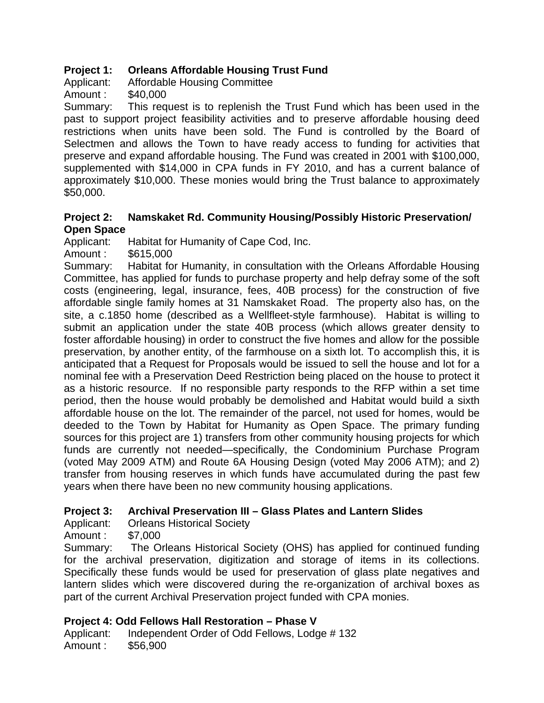# **Project 1: Orleans Affordable Housing Trust Fund**

Applicant: Affordable Housing Committee

Amount : \$40,000

Summary: This request is to replenish the Trust Fund which has been used in the past to support project feasibility activities and to preserve affordable housing deed restrictions when units have been sold. The Fund is controlled by the Board of Selectmen and allows the Town to have ready access to funding for activities that preserve and expand affordable housing. The Fund was created in 2001 with \$100,000, supplemented with \$14,000 in CPA funds in FY 2010, and has a current balance of approximately \$10,000. These monies would bring the Trust balance to approximately \$50,000.

### **Project 2: Namskaket Rd. Community Housing/Possibly Historic Preservation/ Open Space**

Applicant: Habitat for Humanity of Cape Cod, Inc.

Amount : \$615,000

Summary: Habitat for Humanity, in consultation with the Orleans Affordable Housing Committee, has applied for funds to purchase property and help defray some of the soft costs (engineering, legal, insurance, fees, 40B process) for the construction of five affordable single family homes at 31 Namskaket Road. The property also has, on the site, a c.1850 home (described as a Wellfleet-style farmhouse). Habitat is willing to submit an application under the state 40B process (which allows greater density to foster affordable housing) in order to construct the five homes and allow for the possible preservation, by another entity, of the farmhouse on a sixth lot. To accomplish this, it is anticipated that a Request for Proposals would be issued to sell the house and lot for a nominal fee with a Preservation Deed Restriction being placed on the house to protect it as a historic resource. If no responsible party responds to the RFP within a set time period, then the house would probably be demolished and Habitat would build a sixth affordable house on the lot. The remainder of the parcel, not used for homes, would be deeded to the Town by Habitat for Humanity as Open Space. The primary funding sources for this project are 1) transfers from other community housing projects for which funds are currently not needed—specifically, the Condominium Purchase Program (voted May 2009 ATM) and Route 6A Housing Design (voted May 2006 ATM); and 2) transfer from housing reserves in which funds have accumulated during the past few years when there have been no new community housing applications.

# **Project 3: Archival Preservation III – Glass Plates and Lantern Slides**

Applicant: Orleans Historical Society

Amount : \$7,000

Summary: The Orleans Historical Society (OHS) has applied for continued funding for the archival preservation, digitization and storage of items in its collections. Specifically these funds would be used for preservation of glass plate negatives and lantern slides which were discovered during the re-organization of archival boxes as part of the current Archival Preservation project funded with CPA monies.

# **Project 4: Odd Fellows Hall Restoration – Phase V**

Applicant: Independent Order of Odd Fellows, Lodge # 132 Amount : \$56,900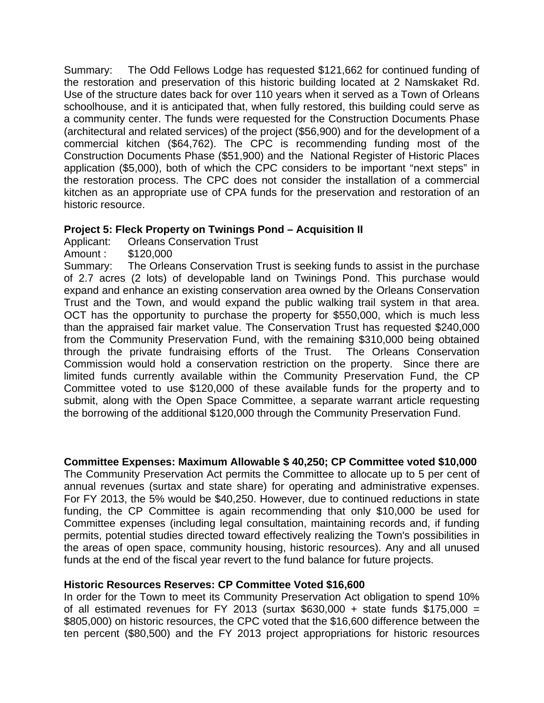Summary: The Odd Fellows Lodge has requested \$121,662 for continued funding of the restoration and preservation of this historic building located at 2 Namskaket Rd. Use of the structure dates back for over 110 years when it served as a Town of Orleans schoolhouse, and it is anticipated that, when fully restored, this building could serve as a community center. The funds were requested for the Construction Documents Phase (architectural and related services) of the project (\$56,900) and for the development of a commercial kitchen (\$64,762). The CPC is recommending funding most of the Construction Documents Phase (\$51,900) and the National Register of Historic Places application (\$5,000), both of which the CPC considers to be important "next steps" in the restoration process. The CPC does not consider the installation of a commercial kitchen as an appropriate use of CPA funds for the preservation and restoration of an historic resource.

### **Project 5: Fleck Property on Twinings Pond – Acquisition II**

Applicant: Orleans Conservation Trust

Amount : \$120,000

Summary: The Orleans Conservation Trust is seeking funds to assist in the purchase of 2.7 acres (2 lots) of developable land on Twinings Pond. This purchase would expand and enhance an existing conservation area owned by the Orleans Conservation Trust and the Town, and would expand the public walking trail system in that area. OCT has the opportunity to purchase the property for \$550,000, which is much less than the appraised fair market value. The Conservation Trust has requested \$240,000 from the Community Preservation Fund, with the remaining \$310,000 being obtained through the private fundraising efforts of the Trust. The Orleans Conservation Commission would hold a conservation restriction on the property.Since there are limited funds currently available within the Community Preservation Fund, the CP Committee voted to use \$120,000 of these available funds for the property and to submit, along with the Open Space Committee, a separate warrant article requesting the borrowing of the additional \$120,000 through the Community Preservation Fund.

### **Committee Expenses: Maximum Allowable \$ 40,250; CP Committee voted \$10,000**

The Community Preservation Act permits the Committee to allocate up to 5 per cent of annual revenues (surtax and state share) for operating and administrative expenses. For FY 2013, the 5% would be \$40,250. However, due to continued reductions in state funding, the CP Committee is again recommending that only \$10,000 be used for Committee expenses (including legal consultation, maintaining records and, if funding permits, potential studies directed toward effectively realizing the Town's possibilities in the areas of open space, community housing, historic resources). Any and all unused funds at the end of the fiscal year revert to the fund balance for future projects.

### **Historic Resources Reserves: CP Committee Voted \$16,600**

In order for the Town to meet its Community Preservation Act obligation to spend 10% of all estimated revenues for FY 2013 (surtax  $$630,000 +$  state funds  $$175,000 =$ \$805,000) on historic resources, the CPC voted that the \$16,600 difference between the ten percent (\$80,500) and the FY 2013 project appropriations for historic resources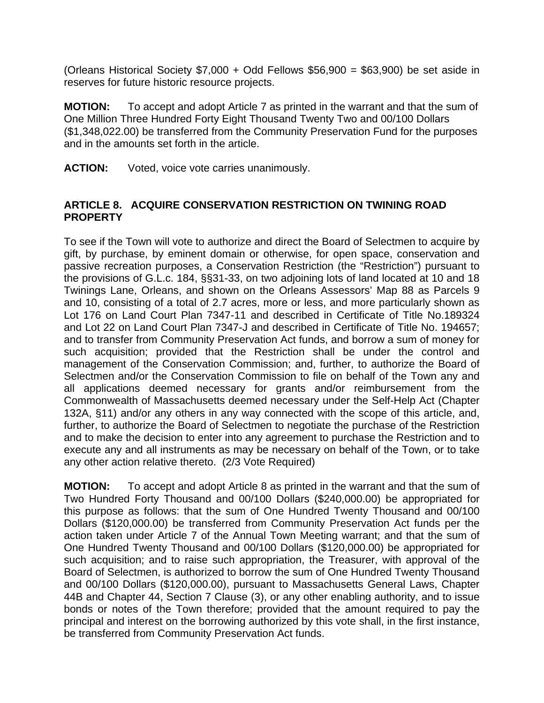(Orleans Historical Society  $$7,000 + Odd$  Fellows  $$56,900 = $63,900$ ) be set aside in reserves for future historic resource projects.

**MOTION:** To accept and adopt Article 7 as printed in the warrant and that the sum of One Million Three Hundred Forty Eight Thousand Twenty Two and 00/100 Dollars (\$1,348,022.00) be transferred from the Community Preservation Fund for the purposes and in the amounts set forth in the article.

**ACTION:** Voted, voice vote carries unanimously.

### **ARTICLE 8. ACQUIRE CONSERVATION RESTRICTION ON TWINING ROAD PROPERTY**

To see if the Town will vote to authorize and direct the Board of Selectmen to acquire by gift, by purchase, by eminent domain or otherwise, for open space, conservation and passive recreation purposes, a Conservation Restriction (the "Restriction") pursuant to the provisions of G.L.c. 184, §§31-33, on two adjoining lots of land located at 10 and 18 Twinings Lane, Orleans, and shown on the Orleans Assessors' Map 88 as Parcels 9 and 10, consisting of a total of 2.7 acres, more or less, and more particularly shown as Lot 176 on Land Court Plan 7347-11 and described in Certificate of Title No.189324 and Lot 22 on Land Court Plan 7347-J and described in Certificate of Title No. 194657; and to transfer from Community Preservation Act funds, and borrow a sum of money for such acquisition; provided that the Restriction shall be under the control and management of the Conservation Commission; and, further, to authorize the Board of Selectmen and/or the Conservation Commission to file on behalf of the Town any and all applications deemed necessary for grants and/or reimbursement from the Commonwealth of Massachusetts deemed necessary under the Self-Help Act (Chapter 132A, §11) and/or any others in any way connected with the scope of this article, and, further, to authorize the Board of Selectmen to negotiate the purchase of the Restriction and to make the decision to enter into any agreement to purchase the Restriction and to execute any and all instruments as may be necessary on behalf of the Town, or to take any other action relative thereto. (2/3 Vote Required)

**MOTION:** To accept and adopt Article 8 as printed in the warrant and that the sum of Two Hundred Forty Thousand and 00/100 Dollars (\$240,000.00) be appropriated for this purpose as follows: that the sum of One Hundred Twenty Thousand and 00/100 Dollars (\$120,000.00) be transferred from Community Preservation Act funds per the action taken under Article 7 of the Annual Town Meeting warrant; and that the sum of One Hundred Twenty Thousand and 00/100 Dollars (\$120,000.00) be appropriated for such acquisition; and to raise such appropriation, the Treasurer, with approval of the Board of Selectmen, is authorized to borrow the sum of One Hundred Twenty Thousand and 00/100 Dollars (\$120,000.00), pursuant to Massachusetts General Laws, Chapter 44B and Chapter 44, Section 7 Clause (3), or any other enabling authority, and to issue bonds or notes of the Town therefore; provided that the amount required to pay the principal and interest on the borrowing authorized by this vote shall, in the first instance, be transferred from Community Preservation Act funds.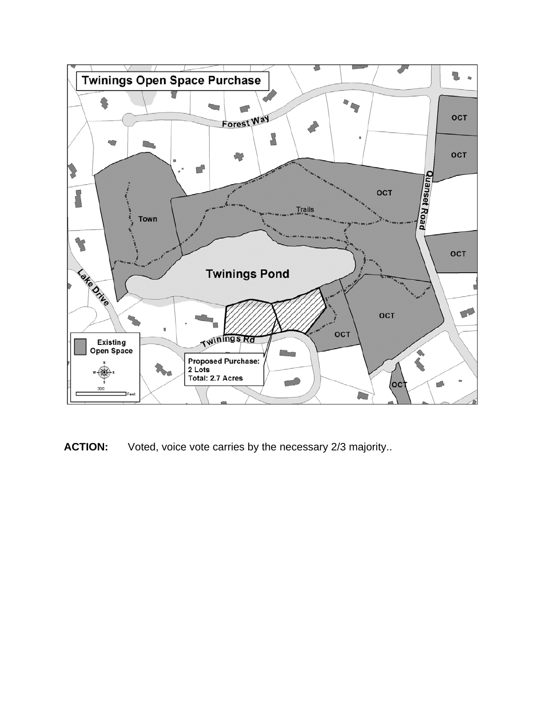

**ACTION:** Voted, voice vote carries by the necessary 2/3 majority..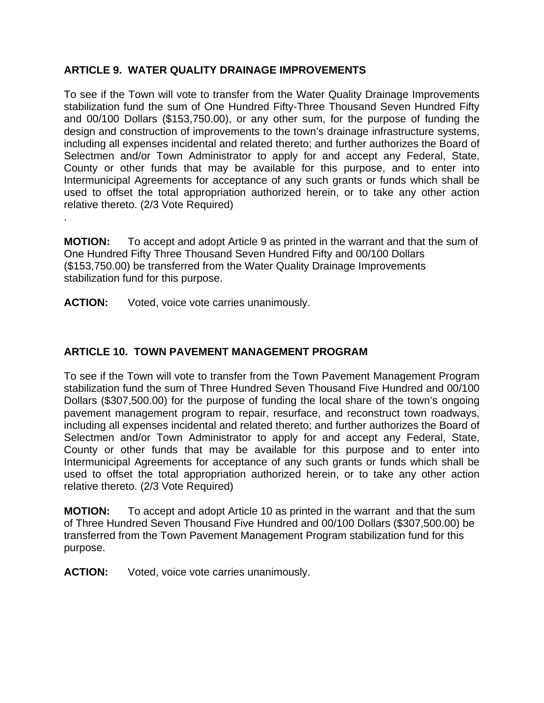# **ARTICLE 9. WATER QUALITY DRAINAGE IMPROVEMENTS**

To see if the Town will vote to transfer from the Water Quality Drainage Improvements stabilization fund the sum of One Hundred Fifty-Three Thousand Seven Hundred Fifty and 00/100 Dollars (\$153,750.00), or any other sum, for the purpose of funding the design and construction of improvements to the town's drainage infrastructure systems, including all expenses incidental and related thereto; and further authorizes the Board of Selectmen and/or Town Administrator to apply for and accept any Federal, State, County or other funds that may be available for this purpose, and to enter into Intermunicipal Agreements for acceptance of any such grants or funds which shall be used to offset the total appropriation authorized herein, or to take any other action relative thereto. (2/3 Vote Required)

**MOTION:** To accept and adopt Article 9 as printed in the warrant and that the sum of One Hundred Fifty Three Thousand Seven Hundred Fifty and 00/100 Dollars (\$153,750.00) be transferred from the Water Quality Drainage Improvements stabilization fund for this purpose.

**ACTION:** Voted, voice vote carries unanimously.

.

# **ARTICLE 10. TOWN PAVEMENT MANAGEMENT PROGRAM**

To see if the Town will vote to transfer from the Town Pavement Management Program stabilization fund the sum of Three Hundred Seven Thousand Five Hundred and 00/100 Dollars (\$307,500.00) for the purpose of funding the local share of the town's ongoing pavement management program to repair, resurface, and reconstruct town roadways, including all expenses incidental and related thereto; and further authorizes the Board of Selectmen and/or Town Administrator to apply for and accept any Federal, State, County or other funds that may be available for this purpose and to enter into Intermunicipal Agreements for acceptance of any such grants or funds which shall be used to offset the total appropriation authorized herein, or to take any other action relative thereto. (2/3 Vote Required)

**MOTION:** To accept and adopt Article 10 as printed in the warrant and that the sum of Three Hundred Seven Thousand Five Hundred and 00/100 Dollars (\$307,500.00) be transferred from the Town Pavement Management Program stabilization fund for this purpose.

**ACTION:** Voted, voice vote carries unanimously.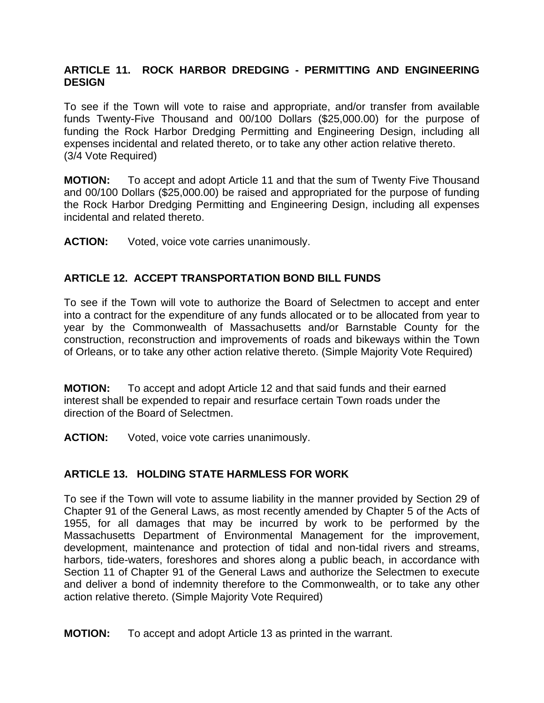### **ARTICLE 11. ROCK HARBOR DREDGING - PERMITTING AND ENGINEERING DESIGN**

To see if the Town will vote to raise and appropriate, and/or transfer from available funds Twenty-Five Thousand and 00/100 Dollars (\$25,000.00) for the purpose of funding the Rock Harbor Dredging Permitting and Engineering Design, including all expenses incidental and related thereto, or to take any other action relative thereto. (3/4 Vote Required)

**MOTION:** To accept and adopt Article 11 and that the sum of Twenty Five Thousand and 00/100 Dollars (\$25,000.00) be raised and appropriated for the purpose of funding the Rock Harbor Dredging Permitting and Engineering Design, including all expenses incidental and related thereto.

**ACTION:** Voted, voice vote carries unanimously.

### **ARTICLE 12. ACCEPT TRANSPORTATION BOND BILL FUNDS**

To see if the Town will vote to authorize the Board of Selectmen to accept and enter into a contract for the expenditure of any funds allocated or to be allocated from year to year by the Commonwealth of Massachusetts and/or Barnstable County for the construction, reconstruction and improvements of roads and bikeways within the Town of Orleans, or to take any other action relative thereto. (Simple Majority Vote Required)

**MOTION:** To accept and adopt Article 12 and that said funds and their earned interest shall be expended to repair and resurface certain Town roads under the direction of the Board of Selectmen.

**ACTION:** Voted, voice vote carries unanimously.

### **ARTICLE 13. HOLDING STATE HARMLESS FOR WORK**

To see if the Town will vote to assume liability in the manner provided by Section 29 of Chapter 91 of the General Laws, as most recently amended by Chapter 5 of the Acts of 1955, for all damages that may be incurred by work to be performed by the Massachusetts Department of Environmental Management for the improvement, development, maintenance and protection of tidal and non-tidal rivers and streams, harbors, tide-waters, foreshores and shores along a public beach, in accordance with Section 11 of Chapter 91 of the General Laws and authorize the Selectmen to execute and deliver a bond of indemnity therefore to the Commonwealth, or to take any other action relative thereto. (Simple Majority Vote Required)

**MOTION:** To accept and adopt Article 13 as printed in the warrant.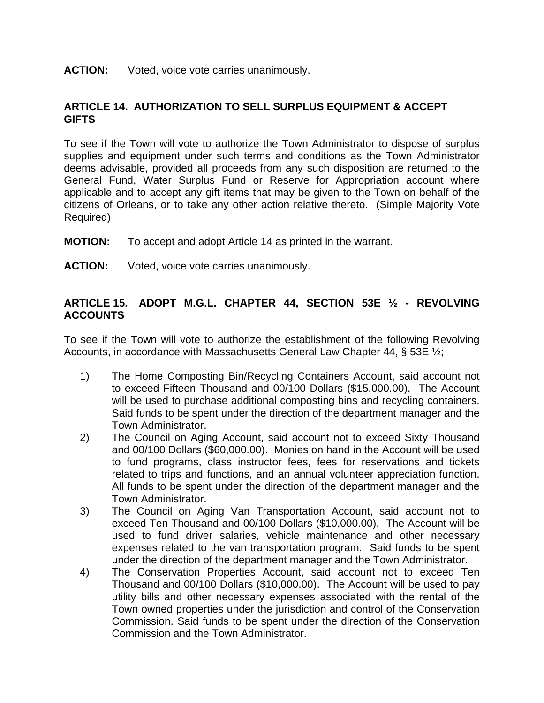#### **ACTION:** Voted, voice vote carries unanimously.

### **ARTICLE 14. AUTHORIZATION TO SELL SURPLUS EQUIPMENT & ACCEPT GIFTS**

To see if the Town will vote to authorize the Town Administrator to dispose of surplus supplies and equipment under such terms and conditions as the Town Administrator deems advisable, provided all proceeds from any such disposition are returned to the General Fund, Water Surplus Fund or Reserve for Appropriation account where applicable and to accept any gift items that may be given to the Town on behalf of the citizens of Orleans, or to take any other action relative thereto. (Simple Majority Vote Required)

- **MOTION:** To accept and adopt Article 14 as printed in the warrant.
- **ACTION:** Voted, voice vote carries unanimously.

### **ARTICLE 15. ADOPT M.G.L. CHAPTER 44, SECTION 53E ½ - REVOLVING ACCOUNTS**

To see if the Town will vote to authorize the establishment of the following Revolving Accounts, in accordance with Massachusetts General Law Chapter 44, § 53E ½;

- 1) The Home Composting Bin/Recycling Containers Account, said account not to exceed Fifteen Thousand and 00/100 Dollars (\$15,000.00). The Account will be used to purchase additional composting bins and recycling containers. Said funds to be spent under the direction of the department manager and the Town Administrator.
- 2) The Council on Aging Account, said account not to exceed Sixty Thousand and 00/100 Dollars (\$60,000.00). Monies on hand in the Account will be used to fund programs, class instructor fees, fees for reservations and tickets related to trips and functions, and an annual volunteer appreciation function. All funds to be spent under the direction of the department manager and the Town Administrator.
- 3) The Council on Aging Van Transportation Account, said account not to exceed Ten Thousand and 00/100 Dollars (\$10,000.00). The Account will be used to fund driver salaries, vehicle maintenance and other necessary expenses related to the van transportation program. Said funds to be spent under the direction of the department manager and the Town Administrator.
- 4) The Conservation Properties Account, said account not to exceed Ten Thousand and 00/100 Dollars (\$10,000.00). The Account will be used to pay utility bills and other necessary expenses associated with the rental of the Town owned properties under the jurisdiction and control of the Conservation Commission. Said funds to be spent under the direction of the Conservation Commission and the Town Administrator.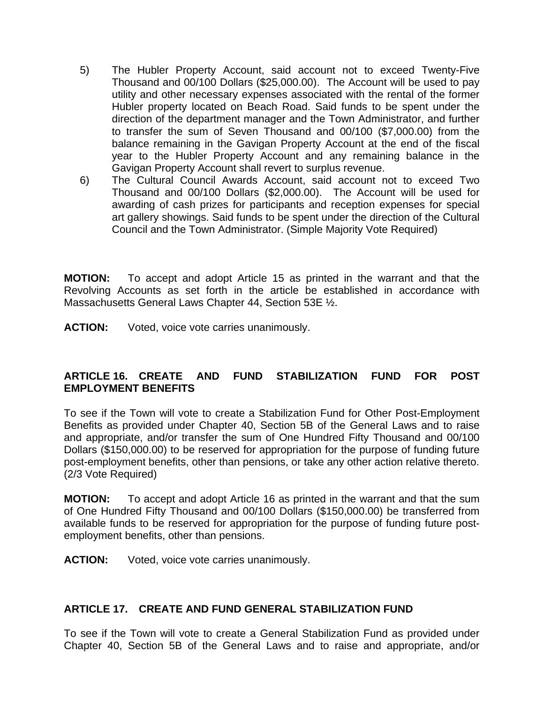- 5) The Hubler Property Account, said account not to exceed Twenty-Five Thousand and 00/100 Dollars (\$25,000.00). The Account will be used to pay utility and other necessary expenses associated with the rental of the former Hubler property located on Beach Road. Said funds to be spent under the direction of the department manager and the Town Administrator, and further to transfer the sum of Seven Thousand and 00/100 (\$7,000.00) from the balance remaining in the Gavigan Property Account at the end of the fiscal year to the Hubler Property Account and any remaining balance in the Gavigan Property Account shall revert to surplus revenue.
- 6) The Cultural Council Awards Account, said account not to exceed Two Thousand and 00/100 Dollars (\$2,000.00). The Account will be used for awarding of cash prizes for participants and reception expenses for special art gallery showings. Said funds to be spent under the direction of the Cultural Council and the Town Administrator. (Simple Majority Vote Required)

**MOTION:** To accept and adopt Article 15 as printed in the warrant and that the Revolving Accounts as set forth in the article be established in accordance with Massachusetts General Laws Chapter 44, Section 53E ½.

**ACTION:** Voted, voice vote carries unanimously.

## **ARTICLE 16. CREATE AND FUND STABILIZATION FUND FOR POST EMPLOYMENT BENEFITS**

To see if the Town will vote to create a Stabilization Fund for Other Post-Employment Benefits as provided under Chapter 40, Section 5B of the General Laws and to raise and appropriate, and/or transfer the sum of One Hundred Fifty Thousand and 00/100 Dollars (\$150,000.00) to be reserved for appropriation for the purpose of funding future post-employment benefits, other than pensions, or take any other action relative thereto. (2/3 Vote Required)

**MOTION:** To accept and adopt Article 16 as printed in the warrant and that the sum of One Hundred Fifty Thousand and 00/100 Dollars (\$150,000.00) be transferred from available funds to be reserved for appropriation for the purpose of funding future postemployment benefits, other than pensions.

**ACTION:** Voted, voice vote carries unanimously.

### **ARTICLE 17. CREATE AND FUND GENERAL STABILIZATION FUND**

To see if the Town will vote to create a General Stabilization Fund as provided under Chapter 40, Section 5B of the General Laws and to raise and appropriate, and/or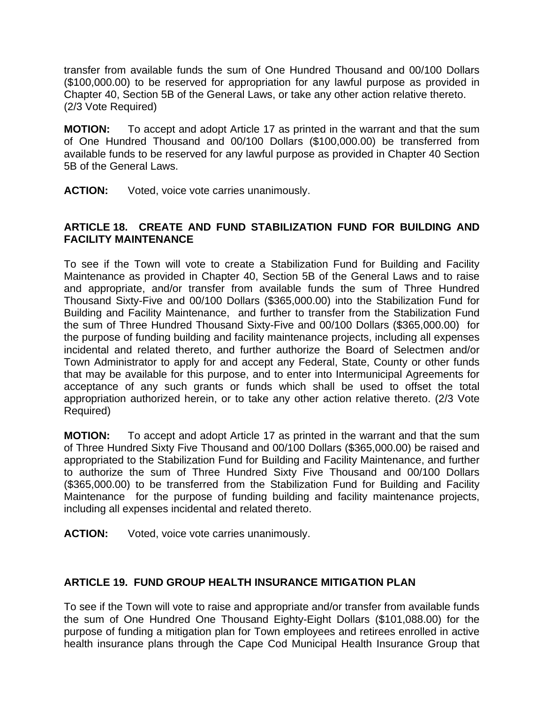transfer from available funds the sum of One Hundred Thousand and 00/100 Dollars (\$100,000.00) to be reserved for appropriation for any lawful purpose as provided in Chapter 40, Section 5B of the General Laws, or take any other action relative thereto. (2/3 Vote Required)

**MOTION:** To accept and adopt Article 17 as printed in the warrant and that the sum of One Hundred Thousand and 00/100 Dollars (\$100,000.00) be transferred from available funds to be reserved for any lawful purpose as provided in Chapter 40 Section 5B of the General Laws.

**ACTION:** Voted, voice vote carries unanimously.

### **ARTICLE 18. CREATE AND FUND STABILIZATION FUND FOR BUILDING AND FACILITY MAINTENANCE**

To see if the Town will vote to create a Stabilization Fund for Building and Facility Maintenance as provided in Chapter 40, Section 5B of the General Laws and to raise and appropriate, and/or transfer from available funds the sum of Three Hundred Thousand Sixty-Five and 00/100 Dollars (\$365,000.00) into the Stabilization Fund for Building and Facility Maintenance, and further to transfer from the Stabilization Fund the sum of Three Hundred Thousand Sixty-Five and 00/100 Dollars (\$365,000.00) for the purpose of funding building and facility maintenance projects, including all expenses incidental and related thereto, and further authorize the Board of Selectmen and/or Town Administrator to apply for and accept any Federal, State, County or other funds that may be available for this purpose, and to enter into Intermunicipal Agreements for acceptance of any such grants or funds which shall be used to offset the total appropriation authorized herein, or to take any other action relative thereto. (2/3 Vote Required)

**MOTION:** To accept and adopt Article 17 as printed in the warrant and that the sum of Three Hundred Sixty Five Thousand and 00/100 Dollars (\$365,000.00) be raised and appropriated to the Stabilization Fund for Building and Facility Maintenance, and further to authorize the sum of Three Hundred Sixty Five Thousand and 00/100 Dollars (\$365,000.00) to be transferred from the Stabilization Fund for Building and Facility Maintenance for the purpose of funding building and facility maintenance projects, including all expenses incidental and related thereto.

**ACTION:** Voted, voice vote carries unanimously.

## **ARTICLE 19. FUND GROUP HEALTH INSURANCE MITIGATION PLAN**

To see if the Town will vote to raise and appropriate and/or transfer from available funds the sum of One Hundred One Thousand Eighty-Eight Dollars (\$101,088.00) for the purpose of funding a mitigation plan for Town employees and retirees enrolled in active health insurance plans through the Cape Cod Municipal Health Insurance Group that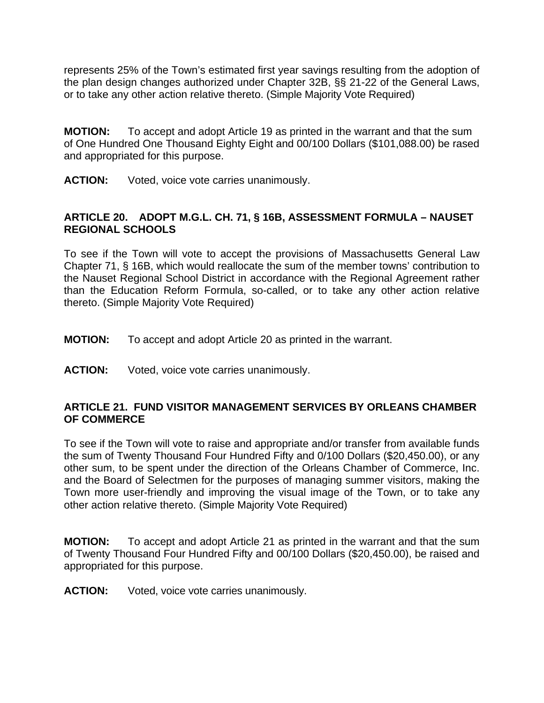represents 25% of the Town's estimated first year savings resulting from the adoption of the plan design changes authorized under Chapter 32B, §§ 21-22 of the General Laws, or to take any other action relative thereto. (Simple Majority Vote Required)

**MOTION:** To accept and adopt Article 19 as printed in the warrant and that the sum of One Hundred One Thousand Eighty Eight and 00/100 Dollars (\$101,088.00) be rased and appropriated for this purpose.

**ACTION:** Voted, voice vote carries unanimously.

### **ARTICLE 20. ADOPT M.G.L. CH. 71, § 16B, ASSESSMENT FORMULA – NAUSET REGIONAL SCHOOLS**

To see if the Town will vote to accept the provisions of Massachusetts General Law Chapter 71, § 16B, which would reallocate the sum of the member towns' contribution to the Nauset Regional School District in accordance with the Regional Agreement rather than the Education Reform Formula, so-called, or to take any other action relative thereto. (Simple Majority Vote Required)

- **MOTION:** To accept and adopt Article 20 as printed in the warrant.
- ACTION: Voted, voice vote carries unanimously.

### **ARTICLE 21. FUND VISITOR MANAGEMENT SERVICES BY ORLEANS CHAMBER OF COMMERCE**

To see if the Town will vote to raise and appropriate and/or transfer from available funds the sum of Twenty Thousand Four Hundred Fifty and 0/100 Dollars (\$20,450.00), or any other sum, to be spent under the direction of the Orleans Chamber of Commerce, Inc. and the Board of Selectmen for the purposes of managing summer visitors, making the Town more user-friendly and improving the visual image of the Town, or to take any other action relative thereto. (Simple Majority Vote Required)

**MOTION:** To accept and adopt Article 21 as printed in the warrant and that the sum of Twenty Thousand Four Hundred Fifty and 00/100 Dollars (\$20,450.00), be raised and appropriated for this purpose.

### **ACTION:** Voted, voice vote carries unanimously.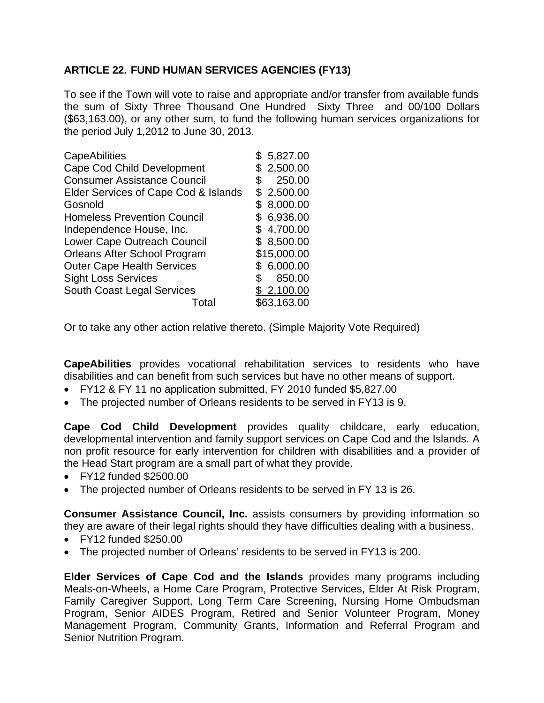## **ARTICLE 22. FUND HUMAN SERVICES AGENCIES (FY13)**

To see if the Town will vote to raise and appropriate and/or transfer from available funds the sum of Sixty Three Thousand One Hundred Sixty Three and 00/100 Dollars (\$63,163.00), or any other sum, to fund the following human services organizations for the period July 1,2012 to June 30, 2013.

| \$5,827.00  |
|-------------|
| \$2,500.00  |
| 250.00      |
| \$2,500.00  |
| \$8,000.00  |
| \$6,936.00  |
| \$4,700.00  |
| \$8,500.00  |
| \$15,000.00 |
| \$6,000.00  |
| 850.00      |
| \$2,100.00  |
| \$63,163.00 |
|             |

Or to take any other action relative thereto. (Simple Majority Vote Required)

**CapeAbilities** provides vocational rehabilitation services to residents who have disabilities and can benefit from such services but have no other means of support.

- FY12 & FY 11 no application submitted, FY 2010 funded \$5,827.00
- The projected number of Orleans residents to be served in FY13 is 9.

**Cape Cod Child Development** provides quality childcare, early education, developmental intervention and family support services on Cape Cod and the Islands. A non profit resource for early intervention for children with disabilities and a provider of the Head Start program are a small part of what they provide.

- FY12 funded \$2500.00
- The projected number of Orleans residents to be served in FY 13 is 26.

**Consumer Assistance Council, Inc.** assists consumers by providing information so they are aware of their legal rights should they have difficulties dealing with a business.

- FY12 funded \$250.00
- The projected number of Orleans' residents to be served in FY13 is 200.

**Elder Services of Cape Cod and the Islands** provides many programs including Meals-on-Wheels, a Home Care Program, Protective Services, Elder At Risk Program, Family Caregiver Support, Long Term Care Screening, Nursing Home Ombudsman Program, Senior AIDES Program, Retired and Senior Volunteer Program, Money Management Program, Community Grants, Information and Referral Program and Senior Nutrition Program.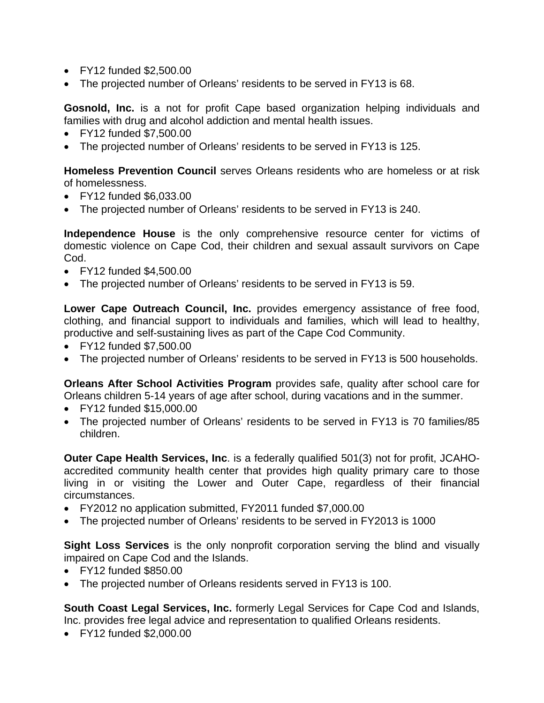- FY12 funded \$2,500.00
- The projected number of Orleans' residents to be served in FY13 is 68.

**Gosnold, Inc.** is a not for profit Cape based organization helping individuals and families with drug and alcohol addiction and mental health issues.

- FY12 funded \$7,500.00
- The projected number of Orleans' residents to be served in FY13 is 125.

**Homeless Prevention Council** serves Orleans residents who are homeless or at risk of homelessness.

- FY12 funded \$6,033.00
- The projected number of Orleans' residents to be served in FY13 is 240.

**Independence House** is the only comprehensive resource center for victims of domestic violence on Cape Cod, their children and sexual assault survivors on Cape Cod.

- FY12 funded \$4,500.00
- The projected number of Orleans' residents to be served in FY13 is 59.

**Lower Cape Outreach Council, Inc.** provides emergency assistance of free food, clothing, and financial support to individuals and families, which will lead to healthy, productive and self-sustaining lives as part of the Cape Cod Community.

- FY12 funded \$7,500.00
- The projected number of Orleans' residents to be served in FY13 is 500 households.

**Orleans After School Activities Program** provides safe, quality after school care for Orleans children 5-14 years of age after school, during vacations and in the summer.

- FY12 funded \$15,000.00
- The projected number of Orleans' residents to be served in FY13 is 70 families/85 children.

**Outer Cape Health Services, Inc**. is a federally qualified 501(3) not for profit, JCAHOaccredited community health center that provides high quality primary care to those living in or visiting the Lower and Outer Cape, regardless of their financial circumstances.

- FY2012 no application submitted, FY2011 funded \$7,000.00
- The projected number of Orleans' residents to be served in FY2013 is 1000

**Sight Loss Services** is the only nonprofit corporation serving the blind and visually impaired on Cape Cod and the Islands.

- FY12 funded \$850.00
- The projected number of Orleans residents served in FY13 is 100.

**South Coast Legal Services, Inc.** formerly Legal Services for Cape Cod and Islands, Inc. provides free legal advice and representation to qualified Orleans residents.

• FY12 funded \$2,000.00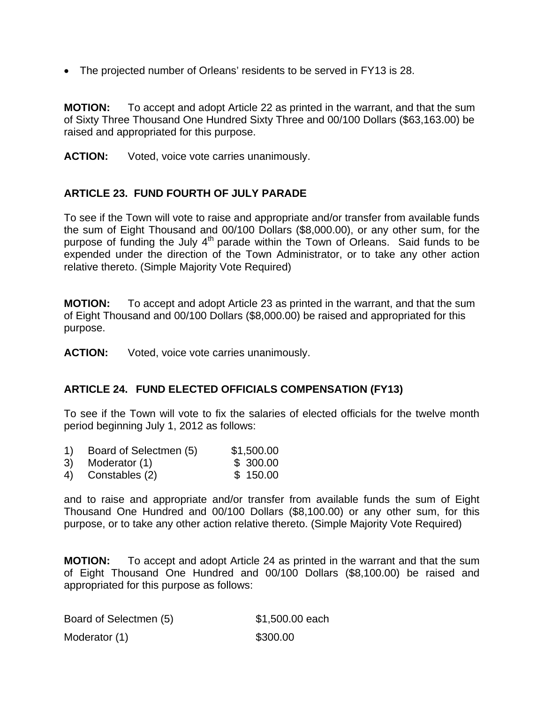• The projected number of Orleans' residents to be served in FY13 is 28.

**MOTION:** To accept and adopt Article 22 as printed in the warrant, and that the sum of Sixty Three Thousand One Hundred Sixty Three and 00/100 Dollars (\$63,163.00) be raised and appropriated for this purpose.

**ACTION:** Voted, voice vote carries unanimously.

## **ARTICLE 23. FUND FOURTH OF JULY PARADE**

To see if the Town will vote to raise and appropriate and/or transfer from available funds the sum of Eight Thousand and 00/100 Dollars (\$8,000.00), or any other sum, for the purpose of funding the July 4<sup>th</sup> parade within the Town of Orleans. Said funds to be expended under the direction of the Town Administrator, or to take any other action relative thereto. (Simple Majority Vote Required)

**MOTION:** To accept and adopt Article 23 as printed in the warrant, and that the sum of Eight Thousand and 00/100 Dollars (\$8,000.00) be raised and appropriated for this purpose.

**ACTION:** Voted, voice vote carries unanimously.

### **ARTICLE 24. FUND ELECTED OFFICIALS COMPENSATION (FY13)**

To see if the Town will vote to fix the salaries of elected officials for the twelve month period beginning July 1, 2012 as follows:

- 1) Board of Selectmen (5) \$1,500.00
- 3) Moderator (1) \$ 300.00
- 4) Constables (2) \$ 150.00

and to raise and appropriate and/or transfer from available funds the sum of Eight Thousand One Hundred and 00/100 Dollars (\$8,100.00) or any other sum, for this purpose, or to take any other action relative thereto. (Simple Majority Vote Required)

**MOTION:** To accept and adopt Article 24 as printed in the warrant and that the sum of Eight Thousand One Hundred and 00/100 Dollars (\$8,100.00) be raised and appropriated for this purpose as follows:

| Board of Selectmen (5) | \$1,500.00 each |
|------------------------|-----------------|
| Moderator (1)          | \$300.00        |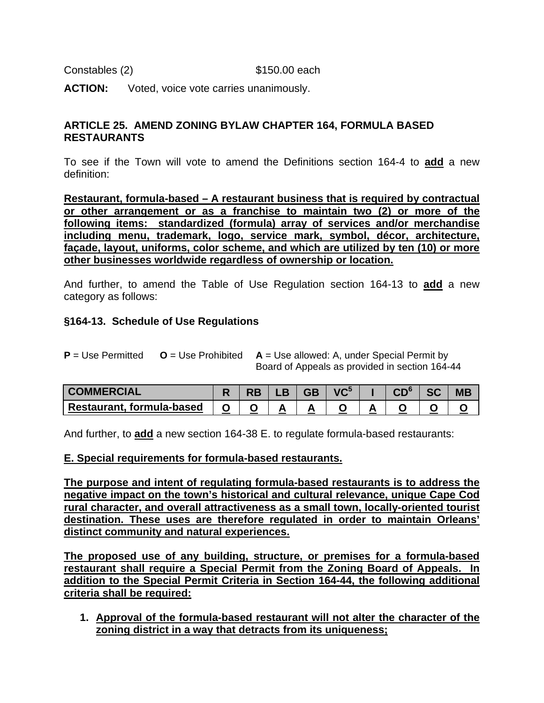Constables (2) \$150.00 each

**ACTION:** Voted, voice vote carries unanimously.

### **ARTICLE 25. AMEND ZONING BYLAW CHAPTER 164, FORMULA BASED RESTAURANTS**

To see if the Town will vote to amend the Definitions section 164-4 to **add** a new definition:

**Restaurant, formula-based – A restaurant business that is required by contractual or other arrangement or as a franchise to maintain two (2) or more of the following items: standardized (formula) array of services and/or merchandise including menu, trademark, logo, service mark, symbol, décor, architecture, façade, layout, uniforms, color scheme, and which are utilized by ten (10) or more other businesses worldwide regardless of ownership or location.** 

And further, to amend the Table of Use Regulation section 164-13 to **add** a new category as follows:

### **§164-13. Schedule of Use Regulations**

**P** = Use Permitted **O** = Use Prohibited **A** = Use allowed: A, under Special Permit by Board of Appeals as provided in section 164-44

| <b>COMMERCIAL</b>         |  |  | $\overline{AC}$ |  | IVI E |  |
|---------------------------|--|--|-----------------|--|-------|--|
| Restaurant, formula-based |  |  |                 |  |       |  |

And further, to **add** a new section 164-38 E. to regulate formula-based restaurants:

### **E. Special requirements for formula-based restaurants.**

**The purpose and intent of regulating formula-based restaurants is to address the negative impact on the town's historical and cultural relevance, unique Cape Cod rural character, and overall attractiveness as a small town, locally-oriented tourist destination. These uses are therefore regulated in order to maintain Orleans' distinct community and natural experiences.**

**The proposed use of any building, structure, or premises for a formula-based restaurant shall require a Special Permit from the Zoning Board of Appeals. In addition to the Special Permit Criteria in Section 164-44, the following additional criteria shall be required:**

**1. Approval of the formula-based restaurant will not alter the character of the zoning district in a way that detracts from its uniqueness;**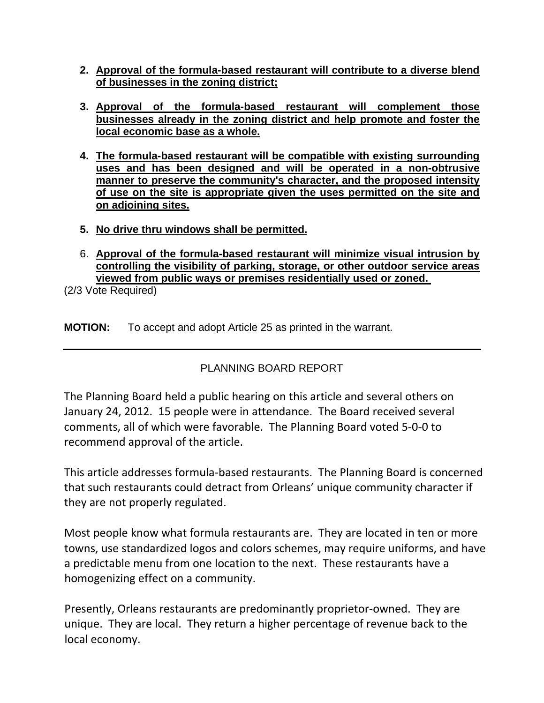- **2. Approval of the formula-based restaurant will contribute to a diverse blend of businesses in the zoning district;**
- **3. Approval of the formula-based restaurant will complement those businesses already in the zoning district and help promote and foster the local economic base as a whole.**
- **4. The formula-based restaurant will be compatible with existing surrounding uses and has been designed and will be operated in a non-obtrusive manner to preserve the community's character, and the proposed intensity of use on the site is appropriate given the uses permitted on the site and on adjoining sites.**
- **5. No drive thru windows shall be permitted.**
- 6. **Approval of the formula-based restaurant will minimize visual intrusion by controlling the visibility of parking, storage, or other outdoor service areas viewed from public ways or premises residentially used or zoned.**

(2/3 Vote Required)

**MOTION:** To accept and adopt Article 25 as printed in the warrant.

PLANNING BOARD REPORT

The Planning Board held a public hearing on this article and several others on January 24, 2012. 15 people were in attendance. The Board received several comments, all of which were favorable. The Planning Board voted 5‐0‐0 to recommend approval of the article.

This article addresses formula‐based restaurants. The Planning Board is concerned that such restaurants could detract from Orleans' unique community character if they are not properly regulated.

Most people know what formula restaurants are. They are located in ten or more towns, use standardized logos and colors schemes, may require uniforms, and have a predictable menu from one location to the next. These restaurants have a homogenizing effect on a community.

Presently, Orleans restaurants are predominantly proprietor‐owned. They are unique. They are local. They return a higher percentage of revenue back to the local economy.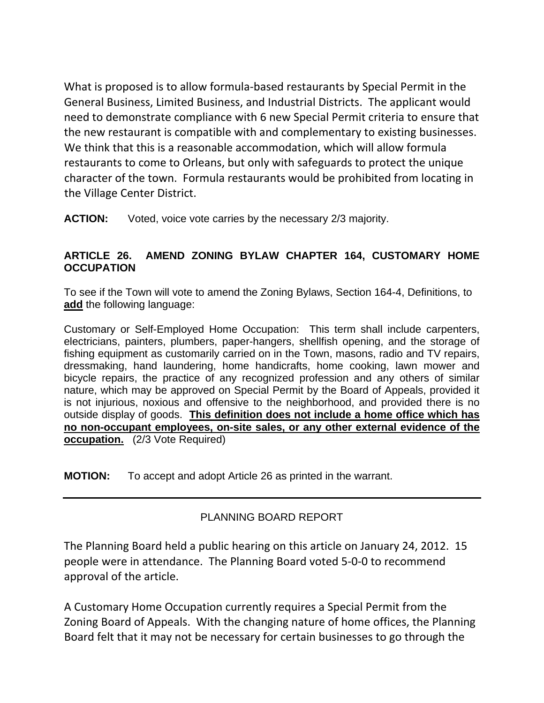What is proposed is to allow formula‐based restaurants by Special Permit in the General Business, Limited Business, and Industrial Districts. The applicant would need to demonstrate compliance with 6 new Special Permit criteria to ensure that the new restaurant is compatible with and complementary to existing businesses. We think that this is a reasonable accommodation, which will allow formula restaurants to come to Orleans, but only with safeguards to protect the unique character of the town. Formula restaurants would be prohibited from locating in the Village Center District.

**ACTION:** Voted, voice vote carries by the necessary 2/3 majority.

# **ARTICLE 26. AMEND ZONING BYLAW CHAPTER 164, CUSTOMARY HOME OCCUPATION**

To see if the Town will vote to amend the Zoning Bylaws, Section 164-4, Definitions, to **add** the following language:

Customary or Self-Employed Home Occupation:This term shall include carpenters, electricians, painters, plumbers, paper-hangers, shellfish opening, and the storage of fishing equipment as customarily carried on in the Town, masons, radio and TV repairs, dressmaking, hand laundering, home handicrafts, home cooking, lawn mower and bicycle repairs, the practice of any recognized profession and any others of similar nature, which may be approved on Special Permit by the Board of Appeals, provided it is not injurious, noxious and offensive to the neighborhood, and provided there is no outside display of goods. **This definition does not include a home office which has no non-occupant employees, on-site sales, or any other external evidence of the occupation.** (2/3 Vote Required)

**MOTION:** To accept and adopt Article 26 as printed in the warrant.

# PLANNING BOARD REPORT

The Planning Board held a public hearing on this article on January 24, 2012. 15 people were in attendance. The Planning Board voted 5‐0‐0 to recommend approval of the article.

A Customary Home Occupation currently requires a Special Permit from the Zoning Board of Appeals. With the changing nature of home offices, the Planning Board felt that it may not be necessary for certain businesses to go through the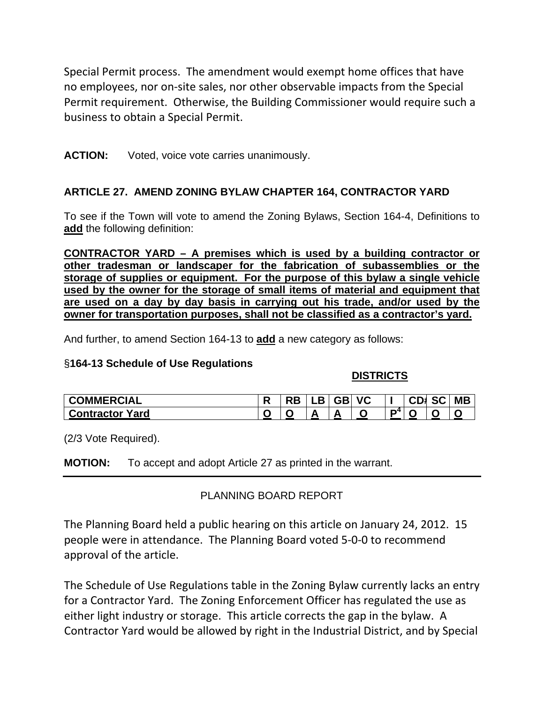Special Permit process. The amendment would exempt home offices that have no employees, nor on‐site sales, nor other observable impacts from the Special Permit requirement. Otherwise, the Building Commissioner would require such a business to obtain a Special Permit.

## **ACTION:** Voted, voice vote carries unanimously.

# **ARTICLE 27. AMEND ZONING BYLAW CHAPTER 164, CONTRACTOR YARD**

To see if the Town will vote to amend the Zoning Bylaws, Section 164-4, Definitions to **add** the following definition:

**CONTRACTOR YARD – A premises which is used by a building contractor or other tradesman or landscaper for the fabrication of subassemblies or the storage of supplies or equipment. For the purpose of this bylaw a single vehicle used by the owner for the storage of small items of material and equipment that are used on a day by day basis in carrying out his trade, and/or used by the owner for transportation purposes, shall not be classified as a contractor's yard.**

And further, to amend Section 164-13 to **add** a new category as follows:

## §**164-13 Schedule of Use Regulations**

## **DISTRICTS**

| <b>COMMERCIAL</b>         | . .    | . . | --<br>56. | <b>VC</b> |      | --<br>CD1. | ~~<br>SG | <b>MB</b> |
|---------------------------|--------|-----|-----------|-----------|------|------------|----------|-----------|
| Yard<br><b>Contractor</b> | ີ<br>- |     |           | ີ         | - 14 | . .        | ີ        |           |

(2/3 Vote Required).

**MOTION:** To accept and adopt Article 27 as printed in the warrant.

# PLANNING BOARD REPORT

The Planning Board held a public hearing on this article on January 24, 2012. 15 people were in attendance. The Planning Board voted 5‐0‐0 to recommend approval of the article.

The Schedule of Use Regulations table in the Zoning Bylaw currently lacks an entry for a Contractor Yard. The Zoning Enforcement Officer has regulated the use as either light industry or storage. This article corrects the gap in the bylaw. A Contractor Yard would be allowed by right in the Industrial District, and by Special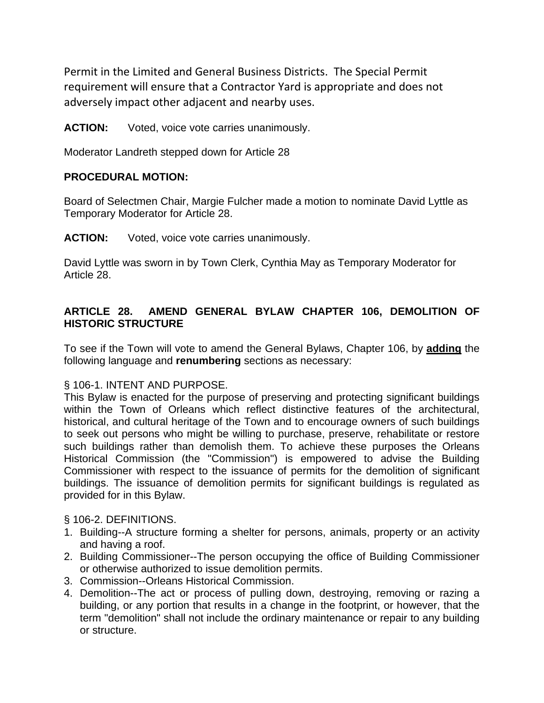Permit in the Limited and General Business Districts. The Special Permit requirement will ensure that a Contractor Yard is appropriate and does not adversely impact other adjacent and nearby uses.

#### **ACTION:** Voted, voice vote carries unanimously.

Moderator Landreth stepped down for Article 28

#### **PROCEDURAL MOTION:**

Board of Selectmen Chair, Margie Fulcher made a motion to nominate David Lyttle as Temporary Moderator for Article 28.

**ACTION:** Voted, voice vote carries unanimously.

David Lyttle was sworn in by Town Clerk, Cynthia May as Temporary Moderator for Article 28.

### **ARTICLE 28. AMEND GENERAL BYLAW CHAPTER 106, DEMOLITION OF HISTORIC STRUCTURE**

To see if the Town will vote to amend the General Bylaws, Chapter 106, by **adding** the following language and **renumbering** sections as necessary:

### § 106-1. INTENT AND PURPOSE.

This Bylaw is enacted for the purpose of preserving and protecting significant buildings within the Town of Orleans which reflect distinctive features of the architectural, historical, and cultural heritage of the Town and to encourage owners of such buildings to seek out persons who might be willing to purchase, preserve, rehabilitate or restore such buildings rather than demolish them. To achieve these purposes the Orleans Historical Commission (the "Commission") is empowered to advise the Building Commissioner with respect to the issuance of permits for the demolition of significant buildings. The issuance of demolition permits for significant buildings is regulated as provided for in this Bylaw.

§ 106-2. DEFINITIONS.

- 1. Building--A structure forming a shelter for persons, animals, property or an activity and having a roof.
- 2. Building Commissioner--The person occupying the office of Building Commissioner or otherwise authorized to issue demolition permits.
- 3. Commission--Orleans Historical Commission.
- 4. Demolition--The act or process of pulling down, destroying, removing or razing a building, or any portion that results in a change in the footprint, or however, that the term "demolition" shall not include the ordinary maintenance or repair to any building or structure.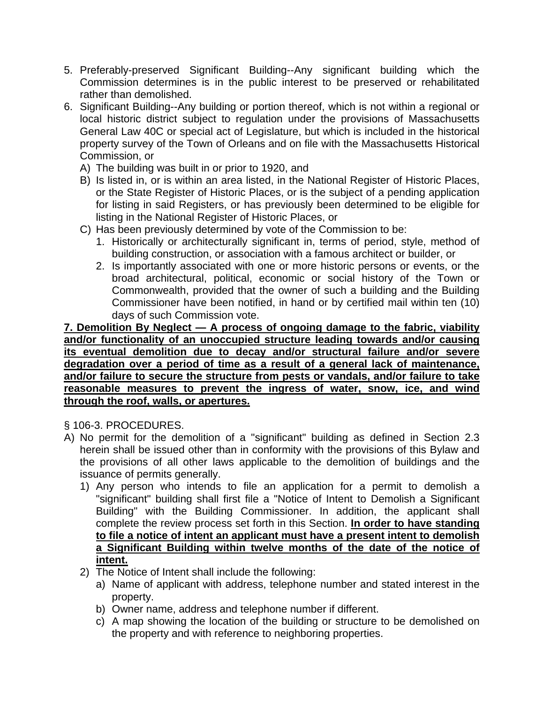- 5. Preferably-preserved Significant Building--Any significant building which the Commission determines is in the public interest to be preserved or rehabilitated rather than demolished.
- 6. Significant Building--Any building or portion thereof, which is not within a regional or local historic district subject to regulation under the provisions of Massachusetts General Law 40C or special act of Legislature, but which is included in the historical property survey of the Town of Orleans and on file with the Massachusetts Historical Commission, or
	- A) The building was built in or prior to 1920, and
	- B) Is listed in, or is within an area listed, in the National Register of Historic Places, or the State Register of Historic Places, or is the subject of a pending application for listing in said Registers, or has previously been determined to be eligible for listing in the National Register of Historic Places, or
	- C) Has been previously determined by vote of the Commission to be:
		- 1. Historically or architecturally significant in, terms of period, style, method of building construction, or association with a famous architect or builder, or
		- 2. Is importantly associated with one or more historic persons or events, or the broad architectural, political, economic or social history of the Town or Commonwealth, provided that the owner of such a building and the Building Commissioner have been notified, in hand or by certified mail within ten (10) days of such Commission vote.

**7. Demolition By Neglect — A process of ongoing damage to the fabric, viability and/or functionality of an unoccupied structure leading towards and/or causing its eventual demolition due to decay and/or structural failure and/or severe degradation over a period of time as a result of a general lack of maintenance, and/or failure to secure the structure from pests or vandals, and/or failure to take reasonable measures to prevent the ingress of water, snow, ice, and wind through the roof, walls, or apertures.**

- § 106-3. PROCEDURES.
- A) No permit for the demolition of a "significant" building as defined in Section 2.3 herein shall be issued other than in conformity with the provisions of this Bylaw and the provisions of all other laws applicable to the demolition of buildings and the issuance of permits generally.
	- 1) Any person who intends to file an application for a permit to demolish a "significant" building shall first file a "Notice of Intent to Demolish a Significant Building" with the Building Commissioner. In addition, the applicant shall complete the review process set forth in this Section. **In order to have standing to file a notice of intent an applicant must have a present intent to demolish a Significant Building within twelve months of the date of the notice of intent.**
	- 2) The Notice of Intent shall include the following:
		- a) Name of applicant with address, telephone number and stated interest in the property.
		- b) Owner name, address and telephone number if different.
		- c) A map showing the location of the building or structure to be demolished on the property and with reference to neighboring properties.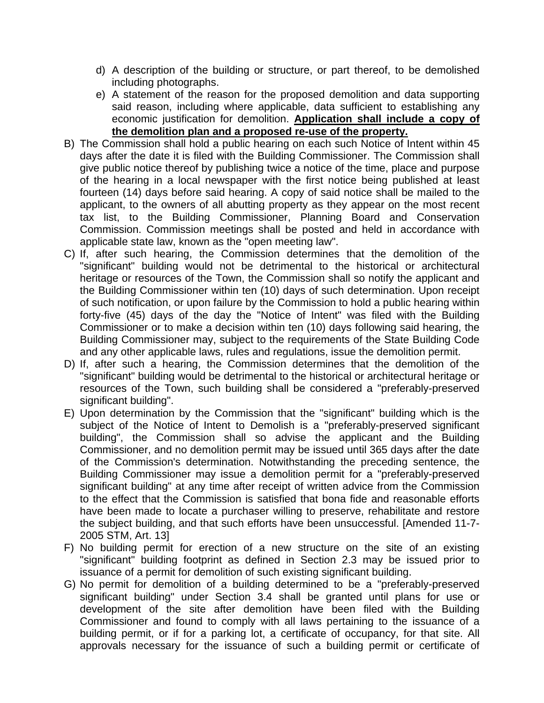- d) A description of the building or structure, or part thereof, to be demolished including photographs.
- e) A statement of the reason for the proposed demolition and data supporting said reason, including where applicable, data sufficient to establishing any economic justification for demolition. **Application shall include a copy of the demolition plan and a proposed re-use of the property.**
- B) The Commission shall hold a public hearing on each such Notice of Intent within 45 days after the date it is filed with the Building Commissioner. The Commission shall give public notice thereof by publishing twice a notice of the time, place and purpose of the hearing in a local newspaper with the first notice being published at least fourteen (14) days before said hearing. A copy of said notice shall be mailed to the applicant, to the owners of all abutting property as they appear on the most recent tax list, to the Building Commissioner, Planning Board and Conservation Commission. Commission meetings shall be posted and held in accordance with applicable state law, known as the "open meeting law".
- C) If, after such hearing, the Commission determines that the demolition of the "significant" building would not be detrimental to the historical or architectural heritage or resources of the Town, the Commission shall so notify the applicant and the Building Commissioner within ten (10) days of such determination. Upon receipt of such notification, or upon failure by the Commission to hold a public hearing within forty-five (45) days of the day the "Notice of Intent" was filed with the Building Commissioner or to make a decision within ten (10) days following said hearing, the Building Commissioner may, subject to the requirements of the State Building Code and any other applicable laws, rules and regulations, issue the demolition permit.
- D) If, after such a hearing, the Commission determines that the demolition of the "significant" building would be detrimental to the historical or architectural heritage or resources of the Town, such building shall be considered a "preferably-preserved significant building".
- E) Upon determination by the Commission that the "significant" building which is the subject of the Notice of Intent to Demolish is a "preferably-preserved significant building", the Commission shall so advise the applicant and the Building Commissioner, and no demolition permit may be issued until 365 days after the date of the Commission's determination. Notwithstanding the preceding sentence, the Building Commissioner may issue a demolition permit for a "preferably-preserved significant building" at any time after receipt of written advice from the Commission to the effect that the Commission is satisfied that bona fide and reasonable efforts have been made to locate a purchaser willing to preserve, rehabilitate and restore the subject building, and that such efforts have been unsuccessful. [Amended 11-7- 2005 STM, Art. 13]
- F) No building permit for erection of a new structure on the site of an existing "significant" building footprint as defined in Section 2.3 may be issued prior to issuance of a permit for demolition of such existing significant building.
- G) No permit for demolition of a building determined to be a "preferably-preserved significant building" under Section 3.4 shall be granted until plans for use or development of the site after demolition have been filed with the Building Commissioner and found to comply with all laws pertaining to the issuance of a building permit, or if for a parking lot, a certificate of occupancy, for that site. All approvals necessary for the issuance of such a building permit or certificate of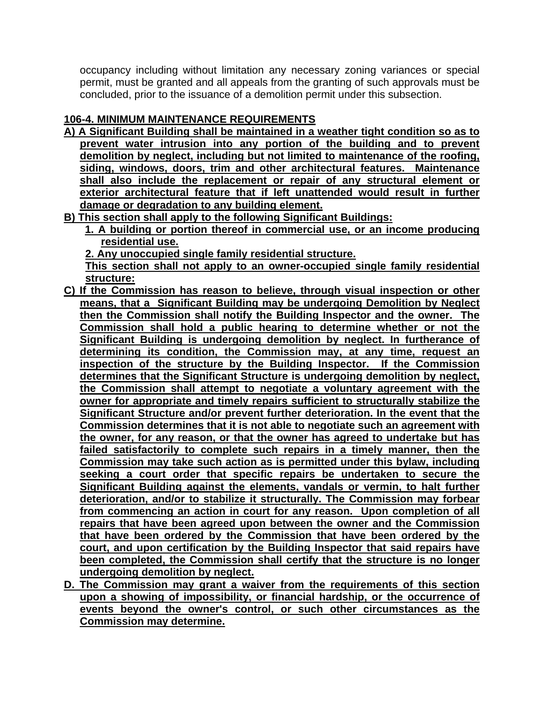occupancy including without limitation any necessary zoning variances or special permit, must be granted and all appeals from the granting of such approvals must be concluded, prior to the issuance of a demolition permit under this subsection.

# **106-4. MINIMUM MAINTENANCE REQUIREMENTS**

- **A) A Significant Building shall be maintained in a weather tight condition so as to prevent water intrusion into any portion of the building and to prevent demolition by neglect, including but not limited to maintenance of the roofing, siding, windows, doors, trim and other architectural features. Maintenance shall also include the replacement or repair of any structural element or exterior architectural feature that if left unattended would result in further damage or degradation to any building element.**
- **B) This section shall apply to the following Significant Buildings:**
	- **1. A building or portion thereof in commercial use, or an income producing residential use.**
	- **2. Any unoccupied single family residential structure.**

**This section shall not apply to an owner-occupied single family residential structure:** 

- **C) If the Commission has reason to believe, through visual inspection or other means, that a Significant Building may be undergoing Demolition by Neglect then the Commission shall notify the Building Inspector and the owner. The Commission shall hold a public hearing to determine whether or not the Significant Building is undergoing demolition by neglect. In furtherance of determining its condition, the Commission may, at any time, request an inspection of the structure by the Building Inspector. If the Commission determines that the Significant Structure is undergoing demolition by neglect, the Commission shall attempt to negotiate a voluntary agreement with the owner for appropriate and timely repairs sufficient to structurally stabilize the Significant Structure and/or prevent further deterioration. In the event that the Commission determines that it is not able to negotiate such an agreement with the owner, for any reason, or that the owner has agreed to undertake but has failed satisfactorily to complete such repairs in a timely manner, then the Commission may take such action as is permitted under this bylaw, including seeking a court order that specific repairs be undertaken to secure the Significant Building against the elements, vandals or vermin, to halt further deterioration, and/or to stabilize it structurally. The Commission may forbear from commencing an action in court for any reason. Upon completion of all repairs that have been agreed upon between the owner and the Commission that have been ordered by the Commission that have been ordered by the court, and upon certification by the Building Inspector that said repairs have been completed, the Commission shall certify that the structure is no longer undergoing demolition by neglect.**
- **D. The Commission may grant a waiver from the requirements of this section upon a showing of impossibility, or financial hardship, or the occurrence of events beyond the owner's control, or such other circumstances as the Commission may determine.**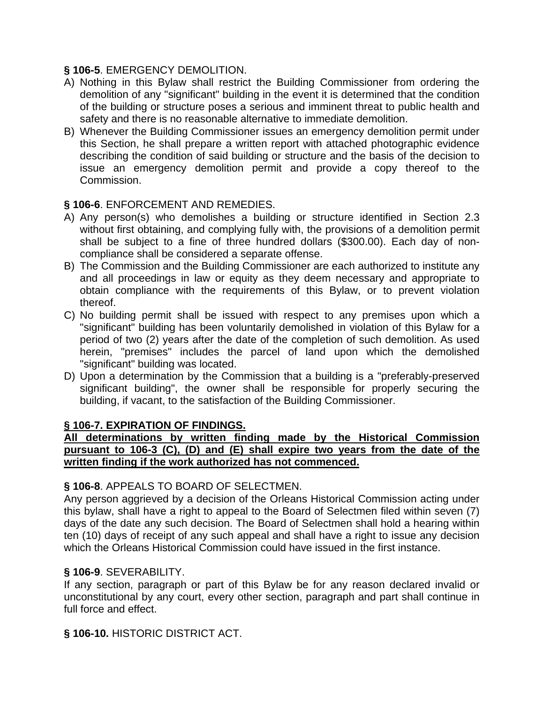### **§ 106-5**. EMERGENCY DEMOLITION.

- A) Nothing in this Bylaw shall restrict the Building Commissioner from ordering the demolition of any "significant" building in the event it is determined that the condition of the building or structure poses a serious and imminent threat to public health and safety and there is no reasonable alternative to immediate demolition.
- B) Whenever the Building Commissioner issues an emergency demolition permit under this Section, he shall prepare a written report with attached photographic evidence describing the condition of said building or structure and the basis of the decision to issue an emergency demolition permit and provide a copy thereof to the Commission.

### **§ 106-6**. ENFORCEMENT AND REMEDIES.

- A) Any person(s) who demolishes a building or structure identified in Section 2.3 without first obtaining, and complying fully with, the provisions of a demolition permit shall be subject to a fine of three hundred dollars (\$300.00). Each day of noncompliance shall be considered a separate offense.
- B) The Commission and the Building Commissioner are each authorized to institute any and all proceedings in law or equity as they deem necessary and appropriate to obtain compliance with the requirements of this Bylaw, or to prevent violation thereof.
- C) No building permit shall be issued with respect to any premises upon which a "significant" building has been voluntarily demolished in violation of this Bylaw for a period of two (2) years after the date of the completion of such demolition. As used herein, "premises" includes the parcel of land upon which the demolished "significant" building was located.
- D) Upon a determination by the Commission that a building is a "preferably-preserved significant building", the owner shall be responsible for properly securing the building, if vacant, to the satisfaction of the Building Commissioner.

## **§ 106-7. EXPIRATION OF FINDINGS.**

**All determinations by written finding made by the Historical Commission pursuant to 106-3 (C), (D) and (E) shall expire two years from the date of the written finding if the work authorized has not commenced.** 

### **§ 106-8**. APPEALS TO BOARD OF SELECTMEN.

Any person aggrieved by a decision of the Orleans Historical Commission acting under this bylaw, shall have a right to appeal to the Board of Selectmen filed within seven (7) days of the date any such decision. The Board of Selectmen shall hold a hearing within ten (10) days of receipt of any such appeal and shall have a right to issue any decision which the Orleans Historical Commission could have issued in the first instance.

### **§ 106-9**. SEVERABILITY.

If any section, paragraph or part of this Bylaw be for any reason declared invalid or unconstitutional by any court, every other section, paragraph and part shall continue in full force and effect.

### **§ 106-10.** HISTORIC DISTRICT ACT.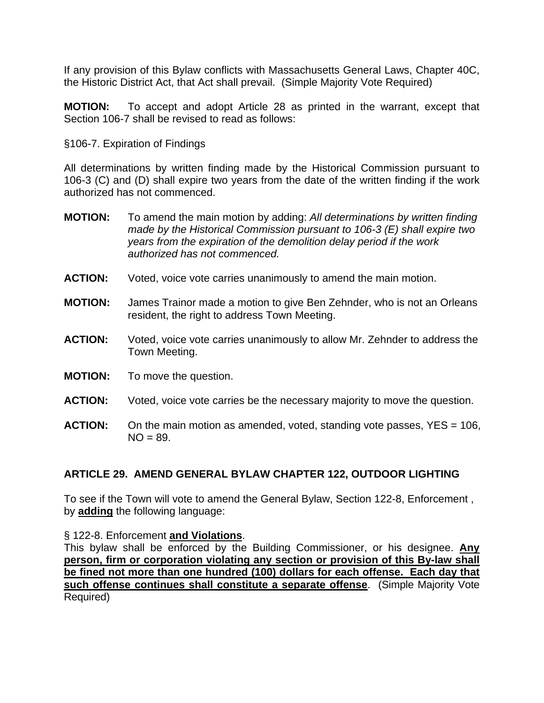If any provision of this Bylaw conflicts with Massachusetts General Laws, Chapter 40C, the Historic District Act, that Act shall prevail. (Simple Majority Vote Required)

**MOTION:** To accept and adopt Article 28 as printed in the warrant, except that Section 106-7 shall be revised to read as follows:

§106-7. Expiration of Findings

All determinations by written finding made by the Historical Commission pursuant to 106-3 (C) and (D) shall expire two years from the date of the written finding if the work authorized has not commenced.

- **MOTION:** To amend the main motion by adding: *All determinations by written finding made by the Historical Commission pursuant to 106-3 (E) shall expire two years from the expiration of the demolition delay period if the work authorized has not commenced.*
- **ACTION:** Voted, voice vote carries unanimously to amend the main motion.
- **MOTION:** James Trainor made a motion to give Ben Zehnder, who is not an Orleans resident, the right to address Town Meeting.
- **ACTION:** Voted, voice vote carries unanimously to allow Mr. Zehnder to address the Town Meeting.
- **MOTION:** To move the question.
- **ACTION:** Voted, voice vote carries be the necessary majority to move the question.
- **ACTION:** On the main motion as amended, voted, standing vote passes, YES = 106,  $NO = 89.$

### **ARTICLE 29. AMEND GENERAL BYLAW CHAPTER 122, OUTDOOR LIGHTING**

To see if the Town will vote to amend the General Bylaw, Section 122-8, Enforcement , by **adding** the following language:

§ 122-8. Enforcement **and Violations**.

This bylaw shall be enforced by the Building Commissioner, or his designee. **Any person, firm or corporation violating any section or provision of this By-law shall be fined not more than one hundred (100) dollars for each offense. Each day that such offense continues shall constitute a separate offense**. (Simple Majority Vote Required)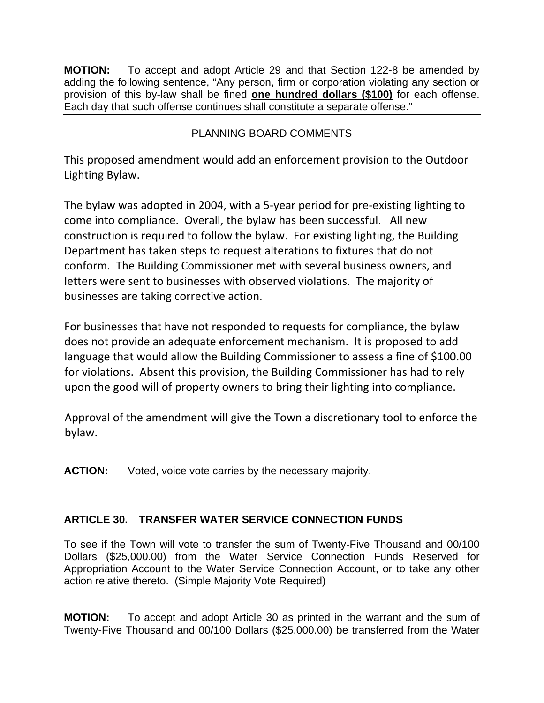**MOTION:** To accept and adopt Article 29 and that Section 122-8 be amended by adding the following sentence, "Any person, firm or corporation violating any section or provision of this by-law shall be fined **one hundred dollars (\$100)** for each offense. Each day that such offense continues shall constitute a separate offense."

# PLANNING BOARD COMMENTS

This proposed amendment would add an enforcement provision to the Outdoor Lighting Bylaw.

The bylaw was adopted in 2004, with a 5‐year period for pre‐existing lighting to come into compliance. Overall, the bylaw has been successful. All new construction is required to follow the bylaw. For existing lighting, the Building Department has taken steps to request alterations to fixtures that do not conform. The Building Commissioner met with several business owners, and letters were sent to businesses with observed violations. The majority of businesses are taking corrective action.

For businesses that have not responded to requests for compliance, the bylaw does not provide an adequate enforcement mechanism. It is proposed to add language that would allow the Building Commissioner to assess a fine of \$100.00 for violations. Absent this provision, the Building Commissioner has had to rely upon the good will of property owners to bring their lighting into compliance.

Approval of the amendment will give the Town a discretionary tool to enforce the bylaw.

**ACTION:** Voted, voice vote carries by the necessary majority.

# **ARTICLE 30. TRANSFER WATER SERVICE CONNECTION FUNDS**

To see if the Town will vote to transfer the sum of Twenty-Five Thousand and 00/100 Dollars (\$25,000.00) from the Water Service Connection Funds Reserved for Appropriation Account to the Water Service Connection Account, or to take any other action relative thereto. (Simple Majority Vote Required)

**MOTION:** To accept and adopt Article 30 as printed in the warrant and the sum of Twenty-Five Thousand and 00/100 Dollars (\$25,000.00) be transferred from the Water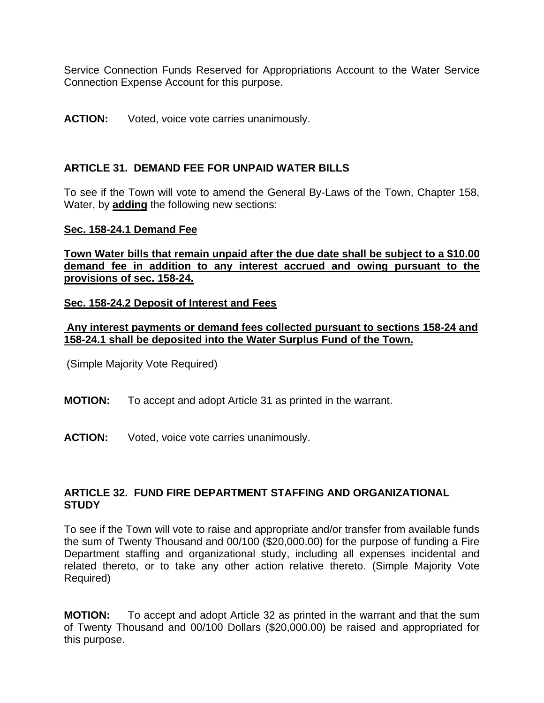Service Connection Funds Reserved for Appropriations Account to the Water Service Connection Expense Account for this purpose.

#### **ACTION:** Voted, voice vote carries unanimously.

### **ARTICLE 31. DEMAND FEE FOR UNPAID WATER BILLS**

To see if the Town will vote to amend the General By-Laws of the Town, Chapter 158, Water, by **adding** the following new sections:

#### **Sec. 158-24.1 Demand Fee**

**Town Water bills that remain unpaid after the due date shall be subject to a \$10.00 demand fee in addition to any interest accrued and owing pursuant to the provisions of sec. 158-24.**

#### **Sec. 158-24.2 Deposit of Interest and Fees**

#### **Any interest payments or demand fees collected pursuant to sections 158-24 and 158-24.1 shall be deposited into the Water Surplus Fund of the Town.**

(Simple Majority Vote Required)

- **MOTION:** To accept and adopt Article 31 as printed in the warrant.
- **ACTION:** Voted, voice vote carries unanimously.

#### **ARTICLE 32. FUND FIRE DEPARTMENT STAFFING AND ORGANIZATIONAL STUDY**

To see if the Town will vote to raise and appropriate and/or transfer from available funds the sum of Twenty Thousand and 00/100 (\$20,000.00) for the purpose of funding a Fire Department staffing and organizational study, including all expenses incidental and related thereto, or to take any other action relative thereto. (Simple Majority Vote Required)

**MOTION:** To accept and adopt Article 32 as printed in the warrant and that the sum of Twenty Thousand and 00/100 Dollars (\$20,000.00) be raised and appropriated for this purpose.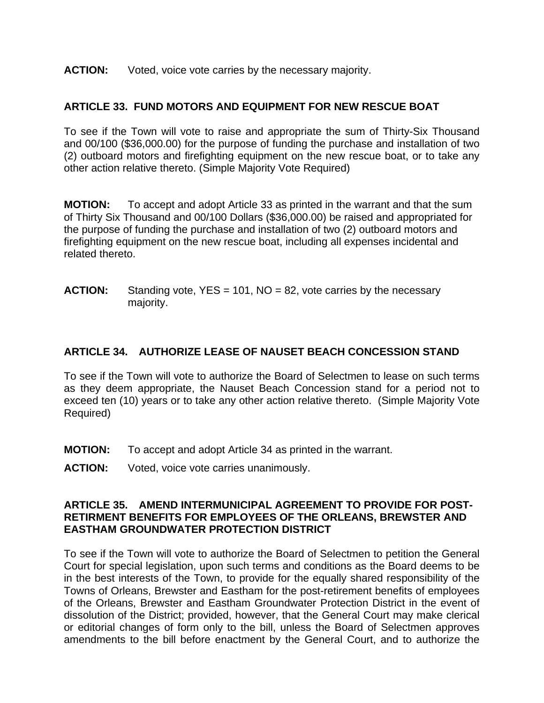#### **ACTION:** Voted, voice vote carries by the necessary majority.

### **ARTICLE 33. FUND MOTORS AND EQUIPMENT FOR NEW RESCUE BOAT**

To see if the Town will vote to raise and appropriate the sum of Thirty-Six Thousand and 00/100 (\$36,000.00) for the purpose of funding the purchase and installation of two (2) outboard motors and firefighting equipment on the new rescue boat, or to take any other action relative thereto. (Simple Majority Vote Required)

**MOTION:** To accept and adopt Article 33 as printed in the warrant and that the sum of Thirty Six Thousand and 00/100 Dollars (\$36,000.00) be raised and appropriated for the purpose of funding the purchase and installation of two (2) outboard motors and firefighting equipment on the new rescue boat, including all expenses incidental and related thereto.

**ACTION:** Standing vote, YES = 101, NO = 82, vote carries by the necessary majority.

### **ARTICLE 34. AUTHORIZE LEASE OF NAUSET BEACH CONCESSION STAND**

To see if the Town will vote to authorize the Board of Selectmen to lease on such terms as they deem appropriate, the Nauset Beach Concession stand for a period not to exceed ten (10) years or to take any other action relative thereto. (Simple Majority Vote Required)

- **MOTION:** To accept and adopt Article 34 as printed in the warrant.
- **ACTION:** Voted, voice vote carries unanimously.

#### **ARTICLE 35. AMEND INTERMUNICIPAL AGREEMENT TO PROVIDE FOR POST-RETIRMENT BENEFITS FOR EMPLOYEES OF THE ORLEANS, BREWSTER AND EASTHAM GROUNDWATER PROTECTION DISTRICT**

To see if the Town will vote to authorize the Board of Selectmen to petition the General Court for special legislation, upon such terms and conditions as the Board deems to be in the best interests of the Town, to provide for the equally shared responsibility of the Towns of Orleans, Brewster and Eastham for the post-retirement benefits of employees of the Orleans, Brewster and Eastham Groundwater Protection District in the event of dissolution of the District; provided, however, that the General Court may make clerical or editorial changes of form only to the bill, unless the Board of Selectmen approves amendments to the bill before enactment by the General Court, and to authorize the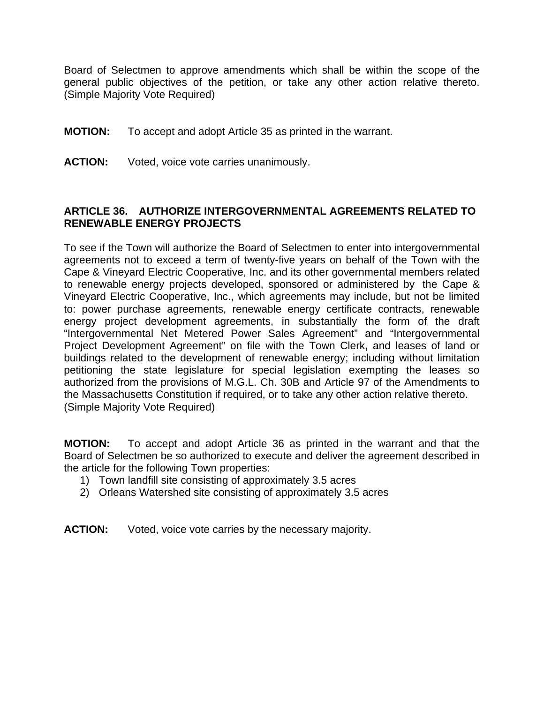Board of Selectmen to approve amendments which shall be within the scope of the general public objectives of the petition, or take any other action relative thereto. (Simple Majority Vote Required)

- **MOTION:** To accept and adopt Article 35 as printed in the warrant.
- **ACTION:** Voted, voice vote carries unanimously.

### **ARTICLE 36. AUTHORIZE INTERGOVERNMENTAL AGREEMENTS RELATED TO RENEWABLE ENERGY PROJECTS**

To see if the Town will authorize the Board of Selectmen to enter into intergovernmental agreements not to exceed a term of twenty-five years on behalf of the Town with the Cape & Vineyard Electric Cooperative, Inc. and its other governmental members related to renewable energy projects developed, sponsored or administered by the Cape & Vineyard Electric Cooperative, Inc., which agreements may include, but not be limited to: power purchase agreements, renewable energy certificate contracts, renewable energy project development agreements, in substantially the form of the draft "Intergovernmental Net Metered Power Sales Agreement" and "Intergovernmental Project Development Agreement" on file with the Town Clerk**,** and leases of land or buildings related to the development of renewable energy; including without limitation petitioning the state legislature for special legislation exempting the leases so authorized from the provisions of M.G.L. Ch. 30B and Article 97 of the Amendments to the Massachusetts Constitution if required, or to take any other action relative thereto. (Simple Majority Vote Required)

**MOTION:** To accept and adopt Article 36 as printed in the warrant and that the Board of Selectmen be so authorized to execute and deliver the agreement described in the article for the following Town properties:

- 1) Town landfill site consisting of approximately 3.5 acres
- 2) Orleans Watershed site consisting of approximately 3.5 acres
- **ACTION:** Voted, voice vote carries by the necessary majority.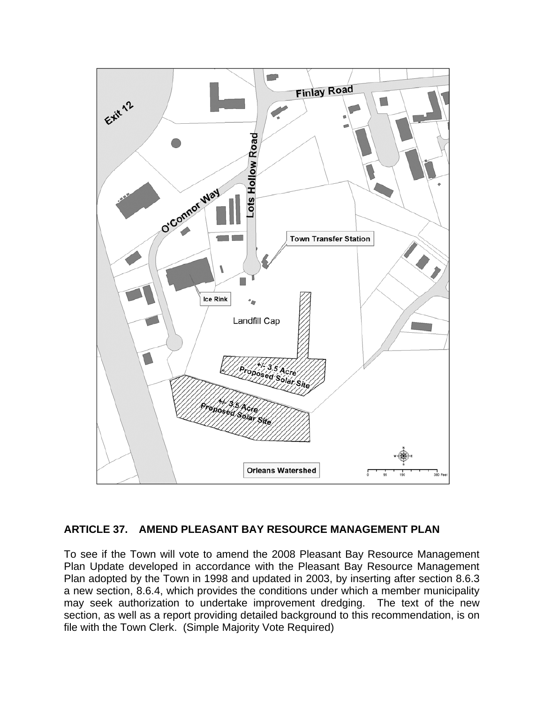

## **ARTICLE 37. AMEND PLEASANT BAY RESOURCE MANAGEMENT PLAN**

To see if the Town will vote to amend the 2008 Pleasant Bay Resource Management Plan Update developed in accordance with the Pleasant Bay Resource Management Plan adopted by the Town in 1998 and updated in 2003, by inserting after section 8.6.3 a new section, 8.6.4, which provides the conditions under which a member municipality may seek authorization to undertake improvement dredging. The text of the new section, as well as a report providing detailed background to this recommendation, is on file with the Town Clerk. (Simple Majority Vote Required)